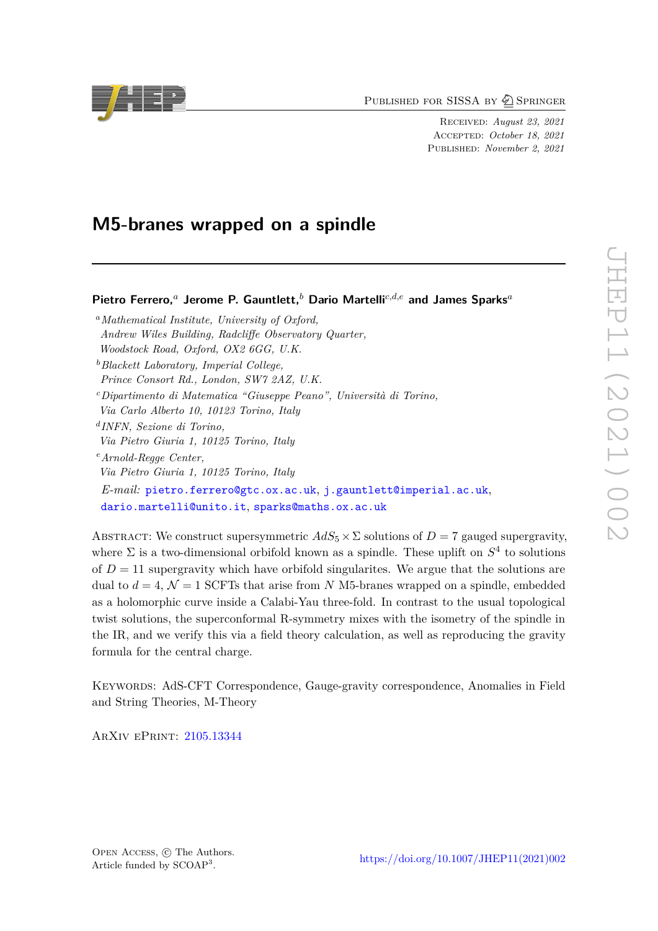PUBLISHED FOR SISSA BY 2 SPRINGER

Received: *August 23, 2021* Accepted: *October 18, 2021* Published: *November 2, 2021*

# **M5-branes wrapped on a spindle**

**Pietro Ferrero,***<sup>a</sup>* **Jerome P. Gauntlett,***<sup>b</sup>* **Dario Martelli***c,d,e* **and James Sparks***<sup>a</sup>*

*<sup>a</sup>Mathematical Institute, University of Oxford, Andrew Wiles Building, Radcliffe Observatory Quarter, Woodstock Road, Oxford, OX2 6GG, U.K. <sup>b</sup>Blackett Laboratory, Imperial College, Prince Consort Rd., London, SW7 2AZ, U.K. <sup>c</sup>Dipartimento di Matematica "Giuseppe Peano", Università di Torino, Via Carlo Alberto 10, 10123 Torino, Italy d INFN, Sezione di Torino, Via Pietro Giuria 1, 10125 Torino, Italy <sup>e</sup>Arnold-Regge Center, Via Pietro Giuria 1, 10125 Torino, Italy E-mail:* [pietro.ferrero@gtc.ox.ac.uk](mailto:pietro.ferrero@gtc.ox.ac.uk), [j.gauntlett@imperial.ac.uk](mailto:j.gauntlett@imperial.ac.uk), [dario.martelli@unito.it](mailto:dario.martelli@unito.it), [sparks@maths.ox.ac.uk](mailto:sparks@maths.ox.ac.uk)

ABSTRACT: We construct supersymmetric  $AdS_5 \times \Sigma$  solutions of  $D = 7$  gauged supergravity, where  $\Sigma$  is a two-dimensional orbifold known as a spindle. These uplift on  $S<sup>4</sup>$  to solutions of  $D = 11$  supergravity which have orbifold singularities. We argue that the solutions are dual to  $d = 4$ ,  $\mathcal{N} = 1$  SCFTs that arise from *N* M5-branes wrapped on a spindle, embedded as a holomorphic curve inside a Calabi-Yau three-fold. In contrast to the usual topological twist solutions, the superconformal R-symmetry mixes with the isometry of the spindle in the IR, and we verify this via a field theory calculation, as well as reproducing the gravity formula for the central charge.

Keywords: AdS-CFT Correspondence, Gauge-gravity correspondence, Anomalies in Field and String Theories, M-Theory

ArXiv ePrint: [2105.13344](https://arxiv.org/abs/2105.13344)

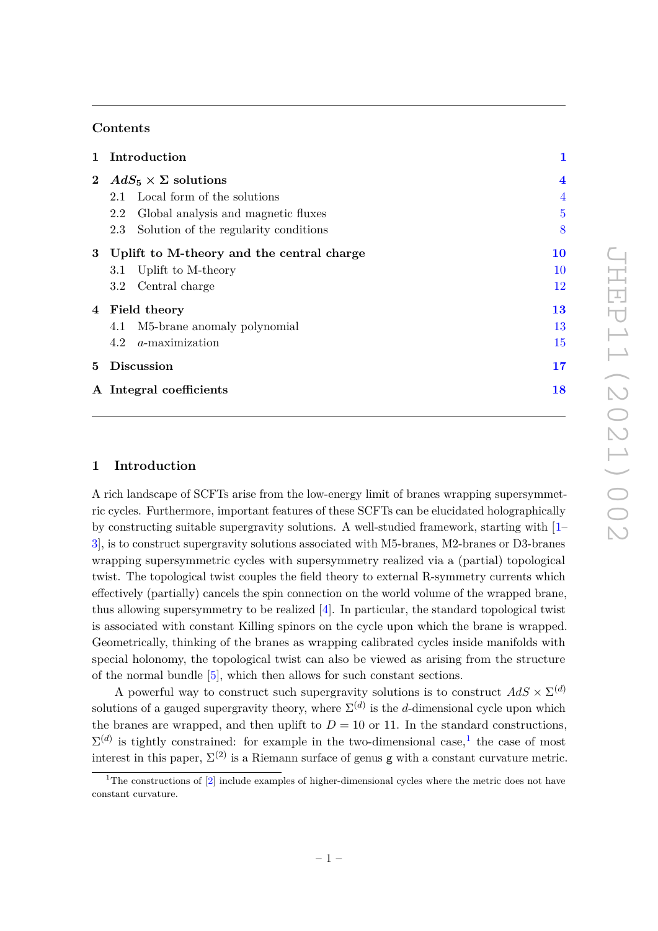# **Contents**

|          | 1 Introduction                             | 1                       |
|----------|--------------------------------------------|-------------------------|
| $\bf{2}$ | $AdS_5 \times \Sigma$ solutions            | $\overline{\mathbf{4}}$ |
|          | 2.1 Local form of the solutions            | $\overline{4}$          |
|          | Global analysis and magnetic fluxes<br>2.2 | $\overline{5}$          |
|          | 2.3 Solution of the regularity conditions  | 8                       |
| $3-$     | Uplift to M-theory and the central charge  | <b>10</b>               |
|          | Uplift to M-theory<br>3.1                  | 10                      |
|          | Central charge<br>$3.2\,$                  | 12                      |
|          | 4 Field theory                             | 13                      |
|          | M5-brane anomaly polynomial<br>4.1         | 13                      |
|          | a-maximization<br>4.2                      | 15                      |
| $5 -$    | <b>Discussion</b>                          | 17                      |
|          | A Integral coefficients                    | 18                      |

# <span id="page-1-0"></span>**1 Introduction**

A rich landscape of SCFTs arise from the low-energy limit of branes wrapping supersymmetric cycles. Furthermore, important features of these SCFTs can be elucidated holographically by constructing suitable supergravity solutions. A well-studied framework, starting with [\[1–](#page-19-0) [3\]](#page-19-1), is to construct supergravity solutions associated with M5-branes, M2-branes or D3-branes wrapping supersymmetric cycles with supersymmetry realized via a (partial) topological twist. The topological twist couples the field theory to external R-symmetry currents which effectively (partially) cancels the spin connection on the world volume of the wrapped brane, thus allowing supersymmetry to be realized [\[4\]](#page-19-2). In particular, the standard topological twist is associated with constant Killing spinors on the cycle upon which the brane is wrapped. Geometrically, thinking of the branes as wrapping calibrated cycles inside manifolds with special holonomy, the topological twist can also be viewed as arising from the structure of the normal bundle [\[5\]](#page-19-3), which then allows for such constant sections.

A powerful way to construct such supergravity solutions is to construct  $AdS \times \Sigma^{(d)}$ solutions of a gauged supergravity theory, where  $\Sigma^{(d)}$  is the *d*-dimensional cycle upon which the branes are wrapped, and then uplift to  $D = 10$  or 11. In the standard constructions,  $\Sigma<sup>(d)</sup>$  is tightly constrained: for example in the two-dimensional case,<sup>[1](#page-1-1)</sup> the case of most interest in this paper,  $\Sigma^{(2)}$  is a Riemann surface of genus g with a constant curvature metric.

<span id="page-1-1"></span><sup>&</sup>lt;sup>1</sup>The constructions of  $[2]$  include examples of higher-dimensional cycles where the metric does not have constant curvature.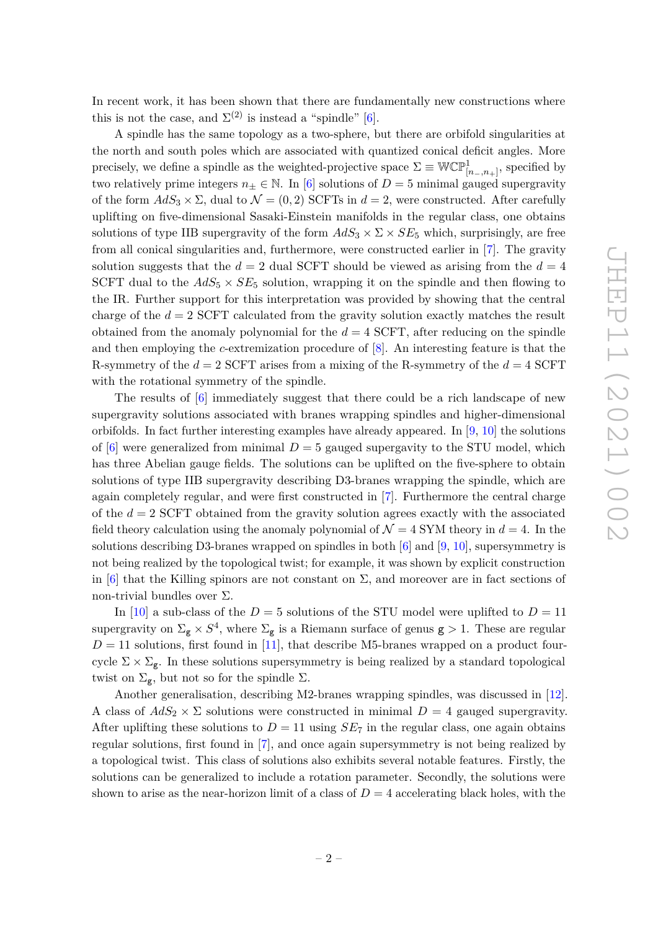In recent work, it has been shown that there are fundamentally new constructions where this is not the case, and  $\Sigma^{(2)}$  is instead a "spindle" [\[6\]](#page-19-5).

A spindle has the same topology as a two-sphere, but there are orbifold singularities at the north and south poles which are associated with quantized conical deficit angles. More precisely, we define a spindle as the weighted-projective space  $\Sigma \equiv \mathbb{WCP}^1_{[n_-,n_+]}$ , specified by two relatively prime integers  $n_{\pm} \in \mathbb{N}$ . In [\[6\]](#page-19-5) solutions of  $D = 5$  minimal gauged supergravity of the form  $AdS_3 \times \Sigma$ , dual to  $\mathcal{N} = (0, 2)$  SCFTs in  $d = 2$ , were constructed. After carefully uplifting on five-dimensional Sasaki-Einstein manifolds in the regular class, one obtains solutions of type IIB supergravity of the form  $AdS_3 \times \Sigma \times SE_5$  which, surprisingly, are free from all conical singularities and, furthermore, were constructed earlier in [\[7\]](#page-19-6). The gravity solution suggests that the  $d = 2$  dual SCFT should be viewed as arising from the  $d = 4$ SCFT dual to the  $AdS_5 \times SE_5$  solution, wrapping it on the spindle and then flowing to the IR. Further support for this interpretation was provided by showing that the central charge of the  $d = 2$  SCFT calculated from the gravity solution exactly matches the result obtained from the anomaly polynomial for the  $d = 4$  SCFT, after reducing on the spindle and then employing the *c*-extremization procedure of [\[8\]](#page-19-7). An interesting feature is that the R-symmetry of the *d* = 2 SCFT arises from a mixing of the R-symmetry of the *d* = 4 SCFT with the rotational symmetry of the spindle.

The results of [\[6\]](#page-19-5) immediately suggest that there could be a rich landscape of new supergravity solutions associated with branes wrapping spindles and higher-dimensional orbifolds. In fact further interesting examples have already appeared. In  $[9, 10]$  $[9, 10]$  $[9, 10]$  the solutions of  $[6]$  were generalized from minimal  $D=5$  gauged supergavity to the STU model, which has three Abelian gauge fields. The solutions can be uplifted on the five-sphere to obtain solutions of type IIB supergravity describing D3-branes wrapping the spindle, which are again completely regular, and were first constructed in [\[7\]](#page-19-6). Furthermore the central charge of the  $d = 2$  SCFT obtained from the gravity solution agrees exactly with the associated field theory calculation using the anomaly polynomial of  $\mathcal{N} = 4$  SYM theory in  $d = 4$ . In the solutions describing D3-branes wrapped on spindles in both  $[6]$  and  $[9, 10]$  $[9, 10]$  $[9, 10]$ , supersymmetry is not being realized by the topological twist; for example, it was shown by explicit construction in [\[6\]](#page-19-5) that the Killing spinors are not constant on  $\Sigma$ , and moreover are in fact sections of non-trivial bundles over Σ.

In [\[10\]](#page-19-9) a sub-class of the  $D = 5$  solutions of the STU model were uplifted to  $D = 11$ supergravity on  $\Sigma_{\mathsf{g}} \times S^4$ , where  $\Sigma_{\mathsf{g}}$  is a Riemann surface of genus  $\mathsf{g} > 1$ . These are regular  $D = 11$  solutions, first found in [\[11\]](#page-19-10), that describe M5-branes wrapped on a product fourcycle  $\Sigma \times \Sigma_{\mathbf{g}}$ . In these solutions supersymmetry is being realized by a standard topological twist on  $\Sigma_{\mathbf{g}}$ , but not so for the spindle  $\Sigma$ .

Another generalisation, describing M2-branes wrapping spindles, was discussed in [\[12\]](#page-19-11). A class of  $AdS_2 \times \Sigma$  solutions were constructed in minimal  $D=4$  gauged supergravity. After uplifting these solutions to  $D = 11$  using  $SE<sub>7</sub>$  in the regular class, one again obtains regular solutions, first found in [\[7\]](#page-19-6), and once again supersymmetry is not being realized by a topological twist. This class of solutions also exhibits several notable features. Firstly, the solutions can be generalized to include a rotation parameter. Secondly, the solutions were shown to arise as the near-horizon limit of a class of  $D = 4$  accelerating black holes, with the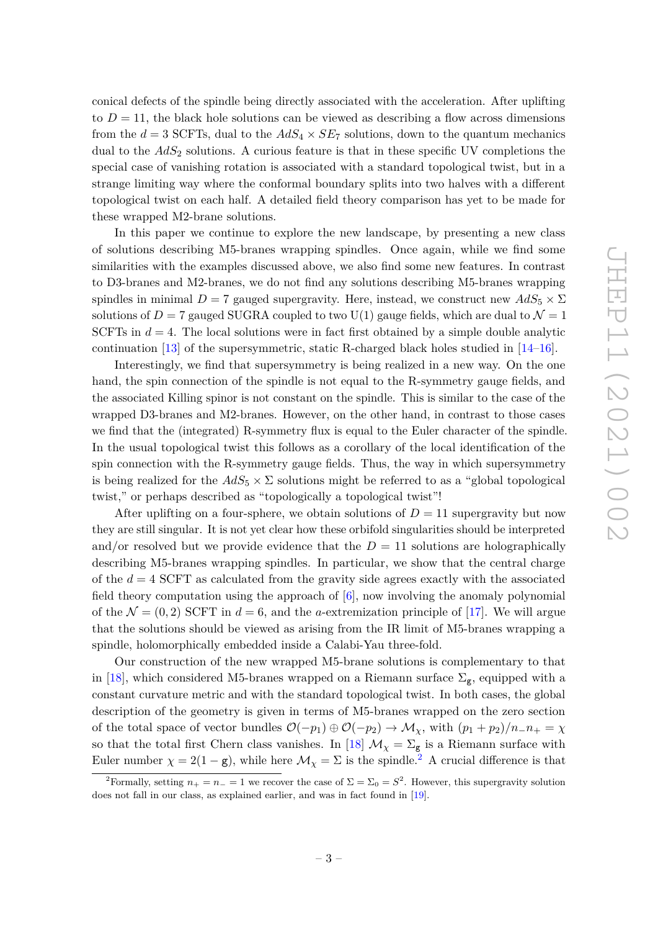conical defects of the spindle being directly associated with the acceleration. After uplifting to  $D = 11$ , the black hole solutions can be viewed as describing a flow across dimensions from the  $d = 3$  SCFTs, dual to the  $AdS_4 \times SE_7$  solutions, down to the quantum mechanics dual to the *AdS*<sup>2</sup> solutions. A curious feature is that in these specific UV completions the special case of vanishing rotation is associated with a standard topological twist, but in a strange limiting way where the conformal boundary splits into two halves with a different topological twist on each half. A detailed field theory comparison has yet to be made for these wrapped M2-brane solutions.

In this paper we continue to explore the new landscape, by presenting a new class of solutions describing M5-branes wrapping spindles. Once again, while we find some similarities with the examples discussed above, we also find some new features. In contrast to D3-branes and M2-branes, we do not find any solutions describing M5-branes wrapping spindles in minimal  $D = 7$  gauged supergravity. Here, instead, we construct new  $AdS_5 \times \Sigma$ solutions of  $D = 7$  gauged SUGRA coupled to two U(1) gauge fields, which are dual to  $\mathcal{N} = 1$ SCFTs in  $d = 4$ . The local solutions were in fact first obtained by a simple double analytic continuation  $[13]$  of the supersymmetric, static R-charged black holes studied in  $[14-16]$  $[14-16]$ .

Interestingly, we find that supersymmetry is being realized in a new way. On the one hand, the spin connection of the spindle is not equal to the R-symmetry gauge fields, and the associated Killing spinor is not constant on the spindle. This is similar to the case of the wrapped D3-branes and M2-branes. However, on the other hand, in contrast to those cases we find that the (integrated) R-symmetry flux is equal to the Euler character of the spindle. In the usual topological twist this follows as a corollary of the local identification of the spin connection with the R-symmetry gauge fields. Thus, the way in which supersymmetry is being realized for the  $AdS_5 \times \Sigma$  solutions might be referred to as a "global topological twist," or perhaps described as "topologically a topological twist"!

After uplifting on a four-sphere, we obtain solutions of  $D = 11$  supergravity but now they are still singular. It is not yet clear how these orbifold singularities should be interpreted and/or resolved but we provide evidence that the  $D = 11$  solutions are holographically describing M5-branes wrapping spindles. In particular, we show that the central charge of the *d* = 4 SCFT as calculated from the gravity side agrees exactly with the associated field theory computation using the approach of  $[6]$ , now involving the anomaly polynomial of the  $\mathcal{N} = (0, 2)$  SCFT in  $d = 6$ , and the *a*-extremization principle of [\[17\]](#page-20-1). We will argue that the solutions should be viewed as arising from the IR limit of M5-branes wrapping a spindle, holomorphically embedded inside a Calabi-Yau three-fold.

Our construction of the new wrapped M5-brane solutions is complementary to that in [\[18\]](#page-20-2), which considered M5-branes wrapped on a Riemann surface  $\Sigma_{\rm g}$ , equipped with a constant curvature metric and with the standard topological twist. In both cases, the global description of the geometry is given in terms of M5-branes wrapped on the zero section of the total space of vector bundles  $\mathcal{O}(-p_1) \oplus \mathcal{O}(-p_2) \to \mathcal{M}_{\chi}$ , with  $(p_1 + p_2)/n_n = \chi$ so that the total first Chern class vanishes. In [\[18\]](#page-20-2)  $\mathcal{M}_{\chi} = \Sigma_{\mathsf{g}}$  is a Riemann surface with Euler number  $\chi = 2(1 - g)$  $\chi = 2(1 - g)$  $\chi = 2(1 - g)$ , while here  $\mathcal{M}_{\chi} = \Sigma$  is the spindle.<sup>2</sup> A crucial difference is that

<span id="page-3-0"></span><sup>&</sup>lt;sup>2</sup>Formally, setting  $n_+ = n_- = 1$  we recover the case of  $\Sigma = \Sigma_0 = S^2$ . However, this supergravity solution does not fall in our class, as explained earlier, and was in fact found in [\[19\]](#page-20-3).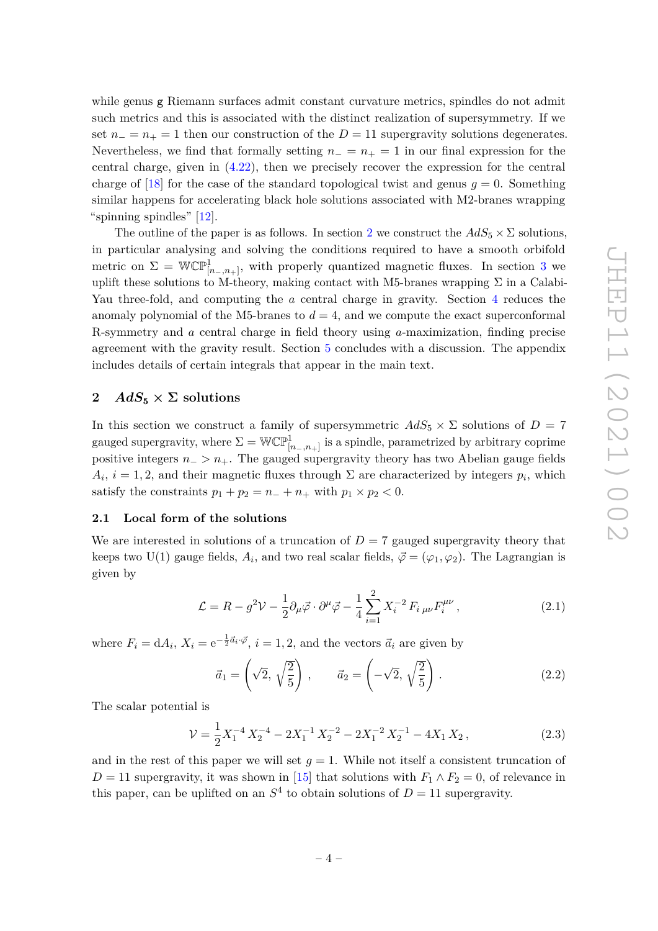while genus g Riemann surfaces admit constant curvature metrics, spindles do not admit such metrics and this is associated with the distinct realization of supersymmetry. If we set  $n_-=n_+=1$  then our construction of the  $D=11$  supergravity solutions degenerates. Nevertheless, we find that formally setting *n*<sup>−</sup> = *n*<sup>+</sup> = 1 in our final expression for the central charge, given in [\(4.22\)](#page-16-0), then we precisely recover the expression for the central charge of [\[18\]](#page-20-2) for the case of the standard topological twist and genus  $g = 0$ . Something similar happens for accelerating black hole solutions associated with M2-branes wrapping "spinning spindles" [\[12\]](#page-19-11).

The outline of the paper is as follows. In section [2](#page-4-0) we construct the  $AdS_5 \times \Sigma$  solutions, in particular analysing and solving the conditions required to have a smooth orbifold metric on  $\Sigma = \mathbb{WCP}^1_{[n_-,n_+]}$ , with properly quantized magnetic fluxes. In section [3](#page-10-0) we uplift these solutions to M-theory, making contact with M5-branes wrapping  $\Sigma$  in a Calabi-Yau three-fold, and computing the *a* central charge in gravity. Section [4](#page-13-0) reduces the anomaly polynomial of the M5-branes to  $d = 4$ , and we compute the exact superconformal R-symmetry and *a* central charge in field theory using *a*-maximization, finding precise agreement with the gravity result. Section [5](#page-17-0) concludes with a discussion. The appendix includes details of certain integrals that appear in the main text.

# <span id="page-4-0"></span>2  $AdS_5 \times \Sigma$  solutions

In this section we construct a family of supersymmetric  $AdS_5 \times \Sigma$  solutions of  $D = 7$ gauged supergravity, where  $\Sigma = \mathbb{WCP}^1_{[n_-,n_+]}$  is a spindle, parametrized by arbitrary coprime positive integers  $n_$  *> n*+. The gauged supergravity theory has two Abelian gauge fields  $A_i$ ,  $i = 1, 2$ , and their magnetic fluxes through  $\Sigma$  are characterized by integers  $p_i$ , which satisfy the constraints  $p_1 + p_2 = n_+ + n_+$  with  $p_1 \times p_2 < 0$ .

## <span id="page-4-1"></span>**2.1 Local form of the solutions**

We are interested in solutions of a truncation of  $D = 7$  gauged supergravity theory that keeps two U(1) gauge fields,  $A_i$ , and two real scalar fields,  $\vec{\varphi} = (\varphi_1, \varphi_2)$ . The Lagrangian is given by

$$
\mathcal{L} = R - g^2 \mathcal{V} - \frac{1}{2} \partial_{\mu} \vec{\varphi} \cdot \partial^{\mu} \vec{\varphi} - \frac{1}{4} \sum_{i=1}^{2} X_i^{-2} F_{i \mu \nu} F_i^{\mu \nu}, \qquad (2.1)
$$

where  $F_i = dA_i$ ,  $X_i = e^{-\frac{1}{2}\vec{a}_i \cdot \vec{\varphi}}, i = 1, 2$ , and the vectors  $\vec{a}_i$  are given by

$$
\vec{a}_1 = \left(\sqrt{2}, \sqrt{\frac{2}{5}}\right), \qquad \vec{a}_2 = \left(-\sqrt{2}, \sqrt{\frac{2}{5}}\right).
$$
 (2.2)

The scalar potential is

$$
\mathcal{V} = \frac{1}{2}X_1^{-4}X_2^{-4} - 2X_1^{-1}X_2^{-2} - 2X_1^{-2}X_2^{-1} - 4X_1X_2, \qquad (2.3)
$$

and in the rest of this paper we will set  $g = 1$ . While not itself a consistent truncation of  $D = 11$  supergravity, it was shown in [\[15\]](#page-20-4) that solutions with  $F_1 \wedge F_2 = 0$ , of relevance in this paper, can be uplifted on an  $S<sup>4</sup>$  to obtain solutions of  $D = 11$  supergravity.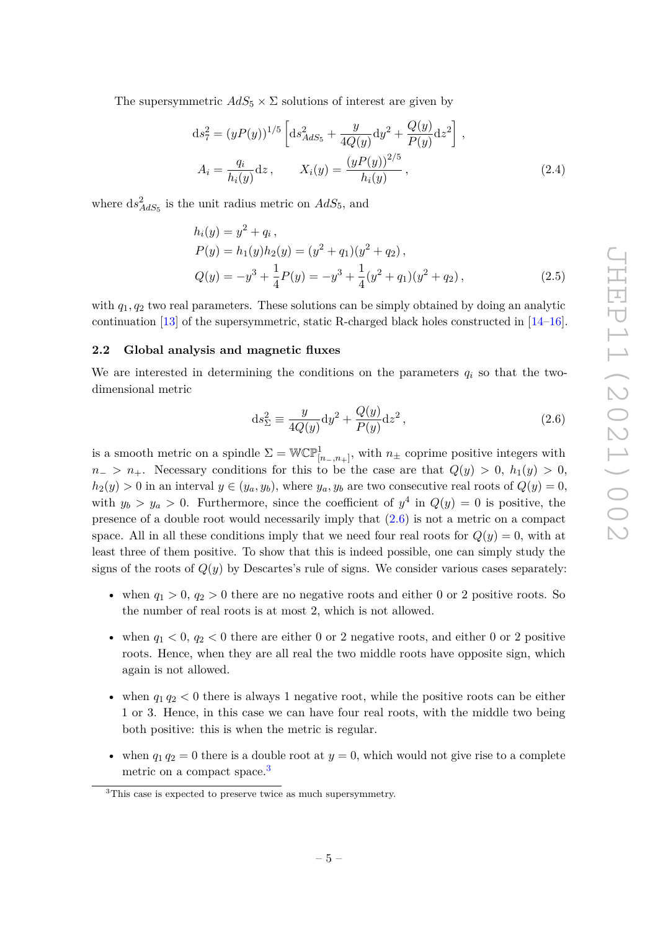The supersymmetric  $AdS_5 \times \Sigma$  solutions of interest are given by

<span id="page-5-4"></span>
$$
ds_7^2 = (yP(y))^{1/5} \left[ ds_{AdS_5}^2 + \frac{y}{4Q(y)} dy^2 + \frac{Q(y)}{P(y)} dz^2 \right],
$$
  
\n
$$
A_i = \frac{q_i}{h_i(y)} dz, \qquad X_i(y) = \frac{(yP(y))^{2/5}}{h_i(y)},
$$
\n(2.4)

where  $ds<sup>2</sup><sub>AdS<sub>5</sub></sub>$  is the unit radius metric on  $AdS<sub>5</sub>$ , and

$$
h_i(y) = y^2 + q_i,
$$
  
\n
$$
P(y) = h_1(y)h_2(y) = (y^2 + q_1)(y^2 + q_2),
$$
  
\n
$$
Q(y) = -y^3 + \frac{1}{4}P(y) = -y^3 + \frac{1}{4}(y^2 + q_1)(y^2 + q_2),
$$
\n(2.5)

with *q*1*, q*<sup>2</sup> two real parameters. These solutions can be simply obtained by doing an analytic continuation [\[13\]](#page-19-12) of the supersymmetric, static R-charged black holes constructed in [\[14](#page-19-13)[–16\]](#page-20-0).

#### <span id="page-5-0"></span>**2.2 Global analysis and magnetic fluxes**

We are interested in determining the conditions on the parameters  $q_i$  so that the twodimensional metric

<span id="page-5-3"></span><span id="page-5-1"></span>
$$
ds_{\Sigma}^2 \equiv \frac{y}{4Q(y)} dy^2 + \frac{Q(y)}{P(y)} dz^2, \qquad (2.6)
$$

is a smooth metric on a spindle  $\Sigma = \mathbb{WCP}^1_{[n_-,n_+]}$ , with  $n_{\pm}$  coprime positive integers with  $n > n_+$ . Necessary conditions for this to be the case are that  $Q(y) > 0$ ,  $h_1(y) > 0$ ,  $h_2(y) > 0$  in an interval  $y \in (y_a, y_b)$ , where  $y_a, y_b$  are two consecutive real roots of  $Q(y) = 0$ , with  $y_b > y_a > 0$ . Furthermore, since the coefficient of  $y^4$  in  $Q(y) = 0$  is positive, the presence of a double root would necessarily imply that  $(2.6)$  is not a metric on a compact space. All in all these conditions imply that we need four real roots for  $Q(y) = 0$ , with at least three of them positive. To show that this is indeed possible, one can simply study the signs of the roots of  $Q(y)$  by Descartes's rule of signs. We consider various cases separately:

- when  $q_1 > 0$ ,  $q_2 > 0$  there are no negative roots and either 0 or 2 positive roots. So the number of real roots is at most 2, which is not allowed.
- when  $q_1 < 0$ ,  $q_2 < 0$  there are either 0 or 2 negative roots, and either 0 or 2 positive roots. Hence, when they are all real the two middle roots have opposite sign, which again is not allowed.
- when  $q_1 q_2 < 0$  there is always 1 negative root, while the positive roots can be either 1 or 3. Hence, in this case we can have four real roots, with the middle two being both positive: this is when the metric is regular.
- when  $q_1 q_2 = 0$  there is a double root at  $y = 0$ , which would not give rise to a complete metric on a compact space.<sup>[3](#page-5-2)</sup>

<span id="page-5-2"></span><sup>&</sup>lt;sup>3</sup>This case is expected to preserve twice as much supersymmetry.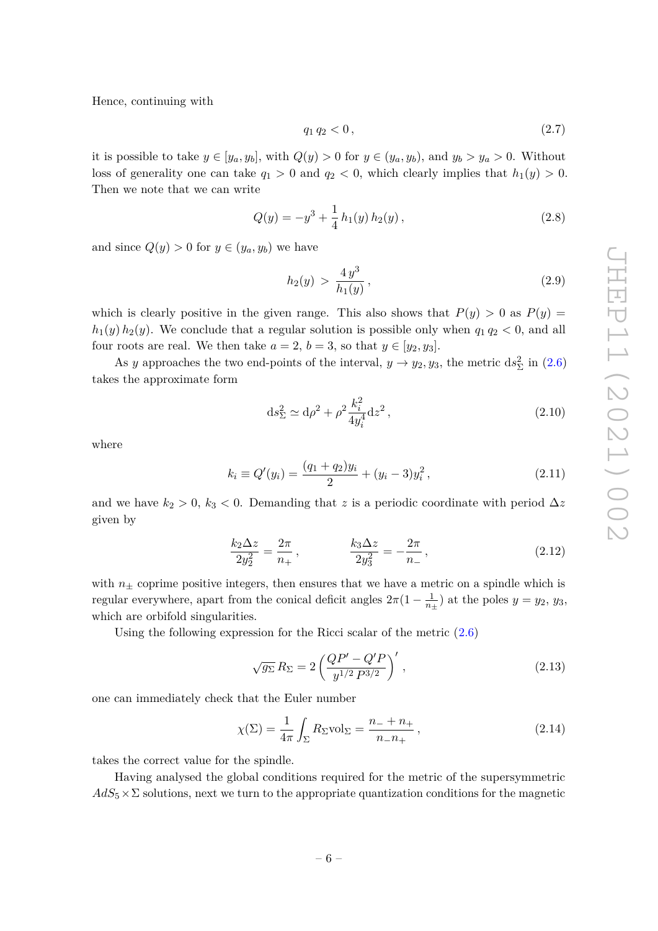Hence, continuing with

$$
q_1 q_2 < 0 \,, \tag{2.7}
$$

it is possible to take  $y \in [y_a, y_b]$ , with  $Q(y) > 0$  for  $y \in (y_a, y_b)$ , and  $y_b > y_a > 0$ . Without loss of generality one can take  $q_1 > 0$  and  $q_2 < 0$ , which clearly implies that  $h_1(y) > 0$ . Then we note that we can write

$$
Q(y) = -y^3 + \frac{1}{4} h_1(y) h_2(y) , \qquad (2.8)
$$

and since  $Q(y) > 0$  for  $y \in (y_a, y_b)$  we have

$$
h_2(y) > \frac{4 y^3}{h_1(y)},
$$
\n(2.9)

which is clearly positive in the given range. This also shows that  $P(y) > 0$  as  $P(y) =$  $h_1(y) h_2(y)$ . We conclude that a regular solution is possible only when  $q_1 q_2 < 0$ , and all four roots are real. We then take  $a = 2$ ,  $b = 3$ , so that  $y \in [y_2, y_3]$ .

As *y* approaches the two end-points of the interval,  $y \to y_2, y_3$ , the metric  $ds_{\Sigma}^2$  in [\(2.6\)](#page-5-1) takes the approximate form

<span id="page-6-0"></span>
$$
ds_{\Sigma}^{2} \simeq d\rho^{2} + \rho^{2} \frac{k_{i}^{2}}{4y_{i}^{4}} dz^{2}, \qquad (2.10)
$$

where

$$
k_i \equiv Q'(y_i) = \frac{(q_1 + q_2)y_i}{2} + (y_i - 3)y_i^2, \qquad (2.11)
$$

and we have  $k_2 > 0$ ,  $k_3 < 0$ . Demanding that *z* is a periodic coordinate with period  $\Delta z$ given by

$$
\frac{k_2 \Delta z}{2y_2^2} = \frac{2\pi}{n_+}, \qquad \frac{k_3 \Delta z}{2y_3^2} = -\frac{2\pi}{n_-}, \qquad (2.12)
$$

with  $n_{\pm}$  coprime positive integers, then ensures that we have a metric on a spindle which is regular everywhere, apart from the conical deficit angles  $2\pi(1-\frac{1}{n})$  $\frac{1}{n_{\pm}}$ ) at the poles  $y = y_2, y_3$ , which are orbifold singularities.

Using the following expression for the Ricci scalar of the metric  $(2.6)$ 

$$
\sqrt{g_{\Sigma}} R_{\Sigma} = 2 \left( \frac{QP' - Q'P}{y^{1/2} P^{3/2}} \right)', \qquad (2.13)
$$

one can immediately check that the Euler number

$$
\chi(\Sigma) = \frac{1}{4\pi} \int_{\Sigma} R_{\Sigma} \text{vol}_{\Sigma} = \frac{n_{-} + n_{+}}{n_{-} + n_{+}},
$$
\n(2.14)

takes the correct value for the spindle.

Having analysed the global conditions required for the metric of the supersymmetric  $AdS_5 \times \Sigma$  solutions, next we turn to the appropriate quantization conditions for the magnetic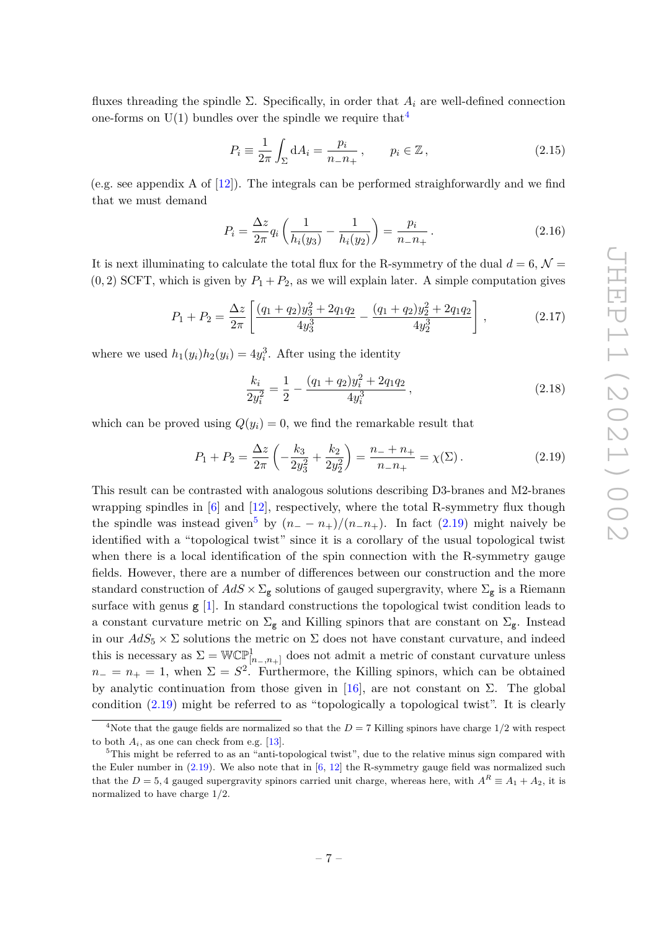fluxes threading the spindle  $\Sigma$ . Specifically, in order that  $A_i$  are well-defined connection one-forms on  $U(1)$  bundles over the spindle we require that  $4$ 

$$
P_i \equiv \frac{1}{2\pi} \int_{\Sigma} dA_i = \frac{p_i}{n_- n_+}, \qquad p_i \in \mathbb{Z},
$$
\n(2.15)

(e.g. see appendix A of [\[12\]](#page-19-11)). The integrals can be performed straighforwardly and we find that we must demand

<span id="page-7-3"></span>
$$
P_i = \frac{\Delta z}{2\pi} q_i \left( \frac{1}{h_i(y_3)} - \frac{1}{h_i(y_2)} \right) = \frac{p_i}{n - n_+} \,. \tag{2.16}
$$

It is next illuminating to calculate the total flux for the R-symmetry of the dual  $d = 6, \mathcal{N} =$  $(0, 2)$  SCFT, which is given by  $P_1 + P_2$ , as we will explain later. A simple computation gives

$$
P_1 + P_2 = \frac{\Delta z}{2\pi} \left[ \frac{(q_1 + q_2)y_3^2 + 2q_1q_2}{4y_3^3} - \frac{(q_1 + q_2)y_2^2 + 2q_1q_2}{4y_2^3} \right],
$$
 (2.17)

where we used  $h_1(y_i)h_2(y_i) = 4y_i^3$ . After using the identity

<span id="page-7-2"></span>
$$
\frac{k_i}{2y_i^2} = \frac{1}{2} - \frac{(q_1 + q_2)y_i^2 + 2q_1q_2}{4y_i^3},
$$
\n(2.18)

which can be proved using  $Q(y_i) = 0$ , we find the remarkable result that

$$
P_1 + P_2 = \frac{\Delta z}{2\pi} \left( -\frac{k_3}{2y_3^2} + \frac{k_2}{2y_2^2} \right) = \frac{n_- + n_+}{n_- n_+} = \chi(\Sigma). \tag{2.19}
$$

This result can be contrasted with analogous solutions describing D3-branes and M2-branes wrapping spindles in  $[6]$  and  $[12]$ , respectively, where the total R-symmetry flux though the spindle was instead given<sup>[5](#page-7-1)</sup> by  $(n_-\n- n_+)/(n_-n_+)$ . In fact [\(2.19\)](#page-7-2) might naively be identified with a "topological twist" since it is a corollary of the usual topological twist when there is a local identification of the spin connection with the R-symmetry gauge fields. However, there are a number of differences between our construction and the more standard construction of  $AdS \times \Sigma_{\mathbf{g}}$  solutions of gauged supergravity, where  $\Sigma_{\mathbf{g}}$  is a Riemann surface with genus g [\[1\]](#page-19-0). In standard constructions the topological twist condition leads to a constant curvature metric on  $\Sigma_{\rm g}$  and Killing spinors that are constant on  $\Sigma_{\rm g}$ . Instead in our  $AdS_5 \times \Sigma$  solutions the metric on  $\Sigma$  does not have constant curvature, and indeed this is necessary as  $\Sigma = \mathbb{WCP}^1_{[n_-,n_+]}$  does not admit a metric of constant curvature unless  $n_$  =  $n_+$  = 1, when  $\Sigma = S^2$ . Furthermore, the Killing spinors, which can be obtained by analytic continuation from those given in [\[16\]](#page-20-0), are not constant on  $\Sigma$ . The global condition [\(2.19\)](#page-7-2) might be referred to as "topologically a topological twist". It is clearly

<span id="page-7-0"></span><sup>&</sup>lt;sup>4</sup>Note that the gauge fields are normalized so that the  $D = 7$  Killing spinors have charge 1/2 with respect to both  $A_i$ , as one can check from e.g. [\[13\]](#page-19-12).

<span id="page-7-1"></span><sup>&</sup>lt;sup>5</sup>This might be referred to as an "anti-topological twist", due to the relative minus sign compared with the Euler number in  $(2.19)$ . We also note that in  $[6, 12]$  $[6, 12]$  $[6, 12]$  the R-symmetry gauge field was normalized such that the  $D = 5, 4$  gauged supergravity spinors carried unit charge, whereas here, with  $A<sup>R</sup> \equiv A_1 + A_2$ , it is normalized to have charge 1*/*2.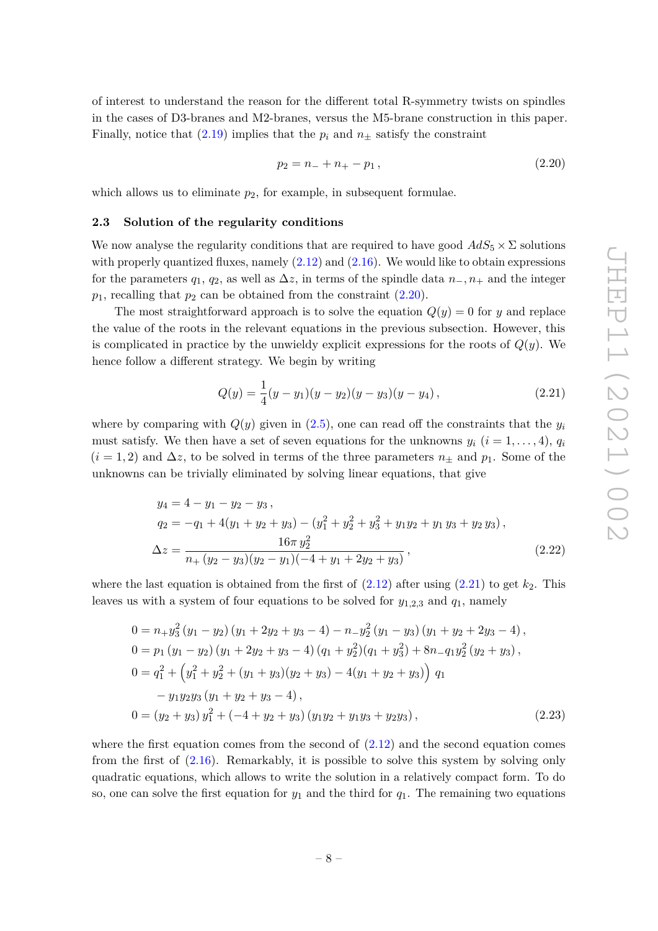of interest to understand the reason for the different total R-symmetry twists on spindles in the cases of D3-branes and M2-branes, versus the M5-brane construction in this paper. Finally, notice that  $(2.19)$  implies that the  $p_i$  and  $n_{\pm}$  satisfy the constraint

<span id="page-8-1"></span>
$$
p_2 = n_- + n_+ - p_1, \t\t(2.20)
$$

which allows us to eliminate  $p_2$ , for example, in subsequent formulae.

#### <span id="page-8-0"></span>**2.3 Solution of the regularity conditions**

We now analyse the regularity conditions that are required to have good  $AdS_5 \times \Sigma$  solutions with properly quantized fluxes, namely  $(2.12)$  and  $(2.16)$ . We would like to obtain expressions for the parameters  $q_1, q_2$ , as well as  $\Delta z$ , in terms of the spindle data  $n_-, n_+$  and the integer  $p_1$ , recalling that  $p_2$  can be obtained from the constraint  $(2.20)$ .

The most straightforward approach is to solve the equation  $Q(y) = 0$  for *y* and replace the value of the roots in the relevant equations in the previous subsection. However, this is complicated in practice by the unwieldy explicit expressions for the roots of  $Q(y)$ . We hence follow a different strategy. We begin by writing

<span id="page-8-2"></span>
$$
Q(y) = \frac{1}{4}(y - y_1)(y - y_2)(y - y_3)(y - y_4), \qquad (2.21)
$$

where by comparing with  $Q(y)$  given in [\(2.5\)](#page-5-3), one can read off the constraints that the  $y_i$ must satisfy. We then have a set of seven equations for the unknowns  $y_i$  ( $i = 1, \ldots, 4$ ),  $q_i$  $(i = 1, 2)$  and  $\Delta z$ , to be solved in terms of the three parameters  $n_{\pm}$  and  $p_1$ . Some of the unknowns can be trivially eliminated by solving linear equations, that give

$$
y_4 = 4 - y_1 - y_2 - y_3,
$$
  
\n
$$
q_2 = -q_1 + 4(y_1 + y_2 + y_3) - (y_1^2 + y_2^2 + y_3^2 + y_1y_2 + y_1y_3 + y_2y_3),
$$
  
\n
$$
\Delta z = \frac{16\pi y_2^2}{n_+(y_2 - y_3)(y_2 - y_1)(-4 + y_1 + 2y_2 + y_3)},
$$
\n(2.22)

where the last equation is obtained from the first of  $(2.12)$  after using  $(2.21)$  to get  $k_2$ . This leaves us with a system of four equations to be solved for  $y_{1,2,3}$  and  $q_1$ , namely

$$
0 = n_{+}y_{3}^{2}(y_{1} - y_{2})(y_{1} + 2y_{2} + y_{3} - 4) - n_{-}y_{2}^{2}(y_{1} - y_{3})(y_{1} + y_{2} + 2y_{3} - 4),
$$
  
\n
$$
0 = p_{1}(y_{1} - y_{2})(y_{1} + 2y_{2} + y_{3} - 4)(q_{1} + y_{2}^{2})(q_{1} + y_{3}^{2}) + 8n_{-}q_{1}y_{2}^{2}(y_{2} + y_{3}),
$$
  
\n
$$
0 = q_{1}^{2} + (y_{1}^{2} + y_{2}^{2} + (y_{1} + y_{3})(y_{2} + y_{3}) - 4(y_{1} + y_{2} + y_{3})) q_{1}
$$
  
\n
$$
- y_{1}y_{2}y_{3}(y_{1} + y_{2} + y_{3} - 4),
$$
  
\n
$$
0 = (y_{2} + y_{3}) y_{1}^{2} + (-4 + y_{2} + y_{3})(y_{1}y_{2} + y_{1}y_{3} + y_{2}y_{3}),
$$
\n(2.23)

where the first equation comes from the second of  $(2.12)$  and the second equation comes from the first of [\(2.16\)](#page-7-3). Remarkably, it is possible to solve this system by solving only quadratic equations, which allows to write the solution in a relatively compact form. To do so, one can solve the first equation for *y*<sup>1</sup> and the third for *q*1. The remaining two equations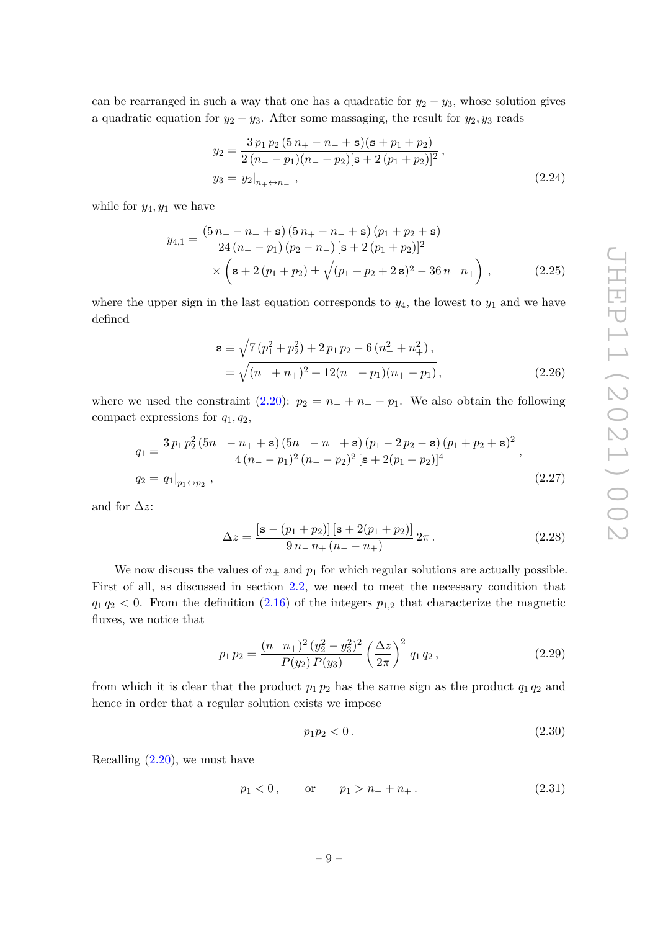can be rearranged in such a way that one has a quadratic for  $y_2 - y_3$ , whose solution gives a quadratic equation for  $y_2 + y_3$ . After some massaging, the result for  $y_2, y_3$  reads

<span id="page-9-3"></span>
$$
y_2 = \frac{3 p_1 p_2 (5 n_+ - n_- + s)(s + p_1 + p_2)}{2 (n_- - p_1)(n_- - p_2)[s + 2 (p_1 + p_2)]^2},
$$
  

$$
y_3 = y_2|_{n_+ \leftrightarrow n_-},
$$
 (2.24)

while for  $y_4, y_1$  we have

$$
y_{4,1} = \frac{(5 n_+ - n_+ + s) (5 n_+ - n_- + s) (p_1 + p_2 + s)}{24 (n_- - p_1) (p_2 - n_-) [s + 2 (p_1 + p_2)]^2}
$$
  
 
$$
\times \left(s + 2 (p_1 + p_2) \pm \sqrt{(p_1 + p_2 + 2 s)^2 - 36 n_- n_+}\right),
$$
 (2.25)

where the upper sign in the last equation corresponds to  $y_4$ , the lowest to  $y_1$  and we have defined

<span id="page-9-1"></span>
$$
\mathbf{s} \equiv \sqrt{7 (p_1^2 + p_2^2) + 2 p_1 p_2 - 6 (n_-^2 + n_+^2)},
$$
  
=  $\sqrt{(n_- + n_+)^2 + 12(n_- - p_1)(n_+ - p_1)},$  (2.26)

where we used the constraint  $(2.20)$ :  $p_2 = n_+ + n_+ - p_1$ . We also obtain the following compact expressions for *q*1*, q*2,

$$
q_1 = \frac{3 p_1 p_2^2 (5n_+ - n_+ + s) (5n_+ - n_- + s) (p_1 - 2p_2 - s) (p_1 + p_2 + s)^2}{4 (n_- - p_1)^2 (n_- - p_2)^2 [s + 2(p_1 + p_2)]^4},
$$
  
\n
$$
q_2 = q_1 |_{p_1 \leftrightarrow p_2},
$$
\n(2.27)

and for ∆*z*:

$$
\Delta z = \frac{\left[\mathbf{s} - (p_1 + p_2)\right] \left[\mathbf{s} + 2(p_1 + p_2)\right]}{9 n_- n_+ (n_- - n_+)} 2\pi.
$$
\n(2.28)

We now discuss the values of  $n_{\pm}$  and  $p_1$  for which regular solutions are actually possible. First of all, as discussed in section [2.2,](#page-5-0) we need to meet the necessary condition that  $q_1 q_2 < 0$ . From the definition  $(2.16)$  of the integers  $p_{1,2}$  that characterize the magnetic fluxes, we notice that

$$
p_1 p_2 = \frac{(n - n + 2)(y_2 - y_3)^2}{P(y_2) P(y_3)} \left(\frac{\Delta z}{2\pi}\right)^2 q_1 q_2, \qquad (2.29)
$$

from which it is clear that the product  $p_1 p_2$  has the same sign as the product  $q_1 q_2$  and hence in order that a regular solution exists we impose

<span id="page-9-2"></span><span id="page-9-0"></span>
$$
p_1 p_2 < 0. \tag{2.30}
$$

Recalling [\(2.20\)](#page-8-1), we must have

$$
p_1 < 0, \qquad \text{or} \qquad p_1 > n_- + n_+ \,. \tag{2.31}
$$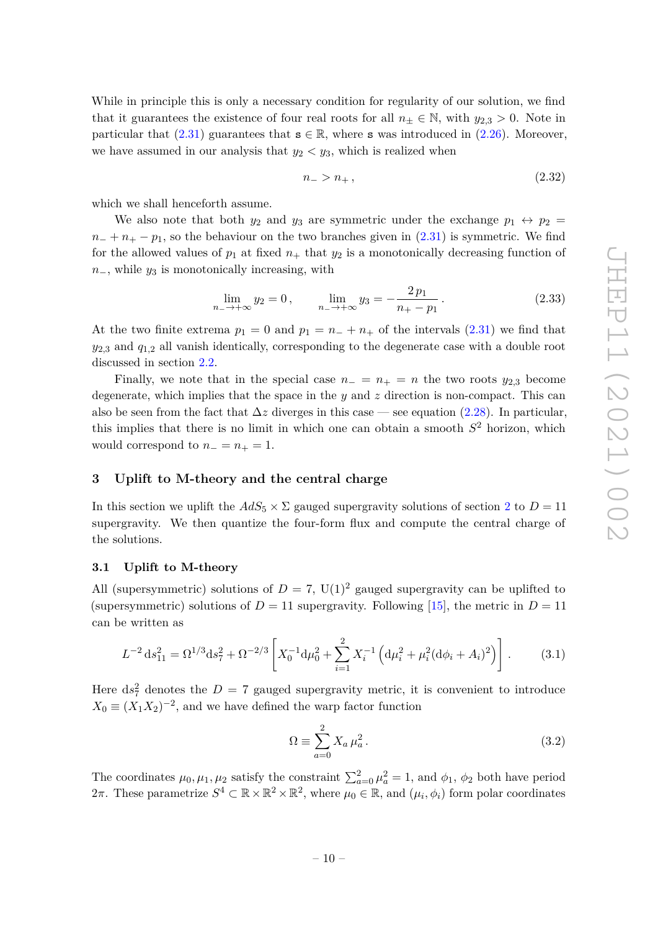While in principle this is only a necessary condition for regularity of our solution, we find that it guarantees the existence of four real roots for all  $n_+ \in \mathbb{N}$ , with  $y_{2,3} > 0$ . Note in particular that  $(2.31)$  guarantees that  $\mathbf{s} \in \mathbb{R}$ , where  $\mathbf{s}$  was introduced in  $(2.26)$ . Moreover, we have assumed in our analysis that  $y_2 < y_3$ , which is realized when

$$
n_{-} > n_{+}, \tag{2.32}
$$

which we shall henceforth assume.

We also note that both  $y_2$  and  $y_3$  are symmetric under the exchange  $p_1 \leftrightarrow p_2 =$  $n_{-} + n_{+} - p_{1}$ , so the behaviour on the two branches given in [\(2.31\)](#page-9-0) is symmetric. We find for the allowed values of  $p_1$  at fixed  $n_+$  that  $y_2$  is a monotonically decreasing function of *n*−, while  $y_3$  is monotonically increasing, with

$$
\lim_{n_{-} \to +\infty} y_2 = 0, \qquad \lim_{n_{-} \to +\infty} y_3 = -\frac{2p_1}{n_{+} - p_1}.
$$
\n(2.33)

At the two finite extrema  $p_1 = 0$  and  $p_1 = n_+ + n_+$  of the intervals [\(2.31\)](#page-9-0) we find that  $y_{2,3}$  and  $q_{1,2}$  all vanish identically, corresponding to the degenerate case with a double root discussed in section [2.2.](#page-5-0)

Finally, we note that in the special case  $n_ - = n_ + = n$  the two roots  $y_{2,3}$  become degenerate, which implies that the space in the *y* and *z* direction is non-compact. This can also be seen from the fact that  $\Delta z$  diverges in this case — see equation [\(2.28\)](#page-9-2). In particular, this implies that there is no limit in which one can obtain a smooth *S* <sup>2</sup> horizon, which would correspond to  $n_-=n_+=1$ .

# <span id="page-10-0"></span>**3 Uplift to M-theory and the central charge**

In this section we uplift the  $AdS_5 \times \Sigma$  gauged supergravity solutions of section [2](#page-4-0) to  $D = 11$ supergravity. We then quantize the four-form flux and compute the central charge of the solutions.

# <span id="page-10-1"></span>**3.1 Uplift to M-theory**

All (supersymmetric) solutions of  $D = 7$ ,  $U(1)^2$  gauged supergravity can be uplifted to (supersymmetric) solutions of  $D = 11$  supergravity. Following [\[15\]](#page-20-4), the metric in  $D = 11$ can be written as

$$
L^{-2} ds_{11}^2 = \Omega^{1/3} ds_7^2 + \Omega^{-2/3} \left[ X_0^{-1} d\mu_0^2 + \sum_{i=1}^2 X_i^{-1} \left( d\mu_i^2 + \mu_i^2 (d\phi_i + A_i)^2 \right) \right].
$$
 (3.1)

Here  $ds_7^2$  denotes the  $D=7$  gauged supergravity metric, it is convenient to introduce  $X_0 \equiv (X_1 X_2)^{-2}$ , and we have defined the warp factor function

$$
\Omega \equiv \sum_{a=0}^{2} X_a \,\mu_a^2 \,. \tag{3.2}
$$

The coordinates  $\mu_0, \mu_1, \mu_2$  satisfy the constraint  $\sum_{a=0}^{2} \mu_a^2 = 1$ , and  $\phi_1, \phi_2$  both have period 2π. These parametrize  $S^4 \subset \mathbb{R} \times \mathbb{R}^2 \times \mathbb{R}^2$ , where  $\mu_0 \in \mathbb{R}$ , and  $(\mu_i, \phi_i)$  form polar coordinates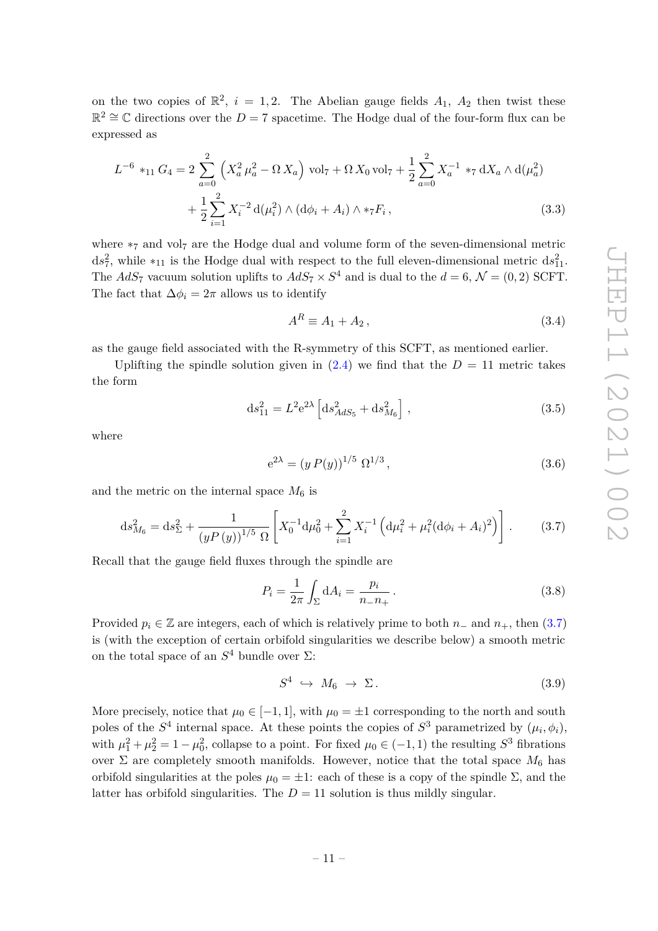on the two copies of  $\mathbb{R}^2$ ,  $i = 1, 2$ . The Abelian gauge fields  $A_1$ ,  $A_2$  then twist these  $\mathbb{R}^2 \cong \mathbb{C}$  directions over the *D* = 7 spacetime. The Hodge dual of the four-form flux can be expressed as

$$
L^{-6} *_{11} G_4 = 2 \sum_{a=0}^{2} \left( X_a^2 \mu_a^2 - \Omega X_a \right) \text{ vol}_7 + \Omega X_0 \text{ vol}_7 + \frac{1}{2} \sum_{a=0}^{2} X_a^{-1} *_{7} dX_a \wedge d(\mu_a^2) + \frac{1}{2} \sum_{i=1}^{2} X_i^{-2} d(\mu_i^2) \wedge (d\phi_i + A_i) \wedge *_{7} F_i, \qquad (3.3)
$$

where  $*_{7}$  and vol<sub>7</sub> are the Hodge dual and volume form of the seven-dimensional metric  $ds_7^2$ , while \*<sub>11</sub> is the Hodge dual with respect to the full eleven-dimensional metric  $ds_{11}^2$ . The  $AdS_7$  vacuum solution uplifts to  $AdS_7 \times S^4$  and is dual to the  $d = 6, \mathcal{N} = (0, 2)$  SCFT. The fact that  $\Delta \phi_i = 2\pi$  allows us to identify

<span id="page-11-2"></span>
$$
A^R \equiv A_1 + A_2, \tag{3.4}
$$

as the gauge field associated with the R-symmetry of this SCFT, as mentioned earlier.

Uplifting the spindle solution given in  $(2.4)$  we find that the  $D = 11$  metric takes the form

$$
ds_{11}^2 = L^2 e^{2\lambda} \left[ ds_{AdS_5}^2 + ds_{M_6}^2 \right],
$$
\n(3.5)

where

<span id="page-11-3"></span><span id="page-11-0"></span>
$$
e^{2\lambda} = (y P(y))^{1/5} \Omega^{1/3}, \qquad (3.6)
$$

and the metric on the internal space  $M_6$  is

$$
ds_{M_6}^2 = ds_{\Sigma}^2 + \frac{1}{(yP(y))^{1/5} \Omega} \left[ X_0^{-1} d\mu_0^2 + \sum_{i=1}^2 X_i^{-1} \left( d\mu_i^2 + \mu_i^2 (d\phi_i + A_i)^2 \right) \right].
$$
 (3.7)

Recall that the gauge field fluxes through the spindle are

$$
P_i = \frac{1}{2\pi} \int_{\Sigma} dA_i = \frac{p_i}{n - n_+} \,. \tag{3.8}
$$

Provided  $p_i \in \mathbb{Z}$  are integers, each of which is relatively prime to both  $n_-\$  and  $n_+$ , then [\(3.7\)](#page-11-0) is (with the exception of certain orbifold singularities we describe below) a smooth metric on the total space of an  $S^4$  bundle over  $\Sigma$ :

<span id="page-11-1"></span>
$$
S^4 \hookrightarrow M_6 \to \Sigma. \tag{3.9}
$$

More precisely, notice that  $\mu_0 \in [-1, 1]$ , with  $\mu_0 = \pm 1$  corresponding to the north and south poles of the  $S^4$  internal space. At these points the copies of  $S^3$  parametrized by  $(\mu_i, \phi_i)$ , with  $\mu_1^2 + \mu_2^2 = 1 - \mu_0^2$ , collapse to a point. For fixed  $\mu_0 \in (-1, 1)$  the resulting  $S^3$  fibrations over  $\Sigma$  are completely smooth manifolds. However, notice that the total space  $M_6$  has orbifold singularities at the poles  $\mu_0 = \pm 1$ : each of these is a copy of the spindle  $\Sigma$ , and the latter has orbifold singularities. The  $D = 11$  solution is thus mildly singular.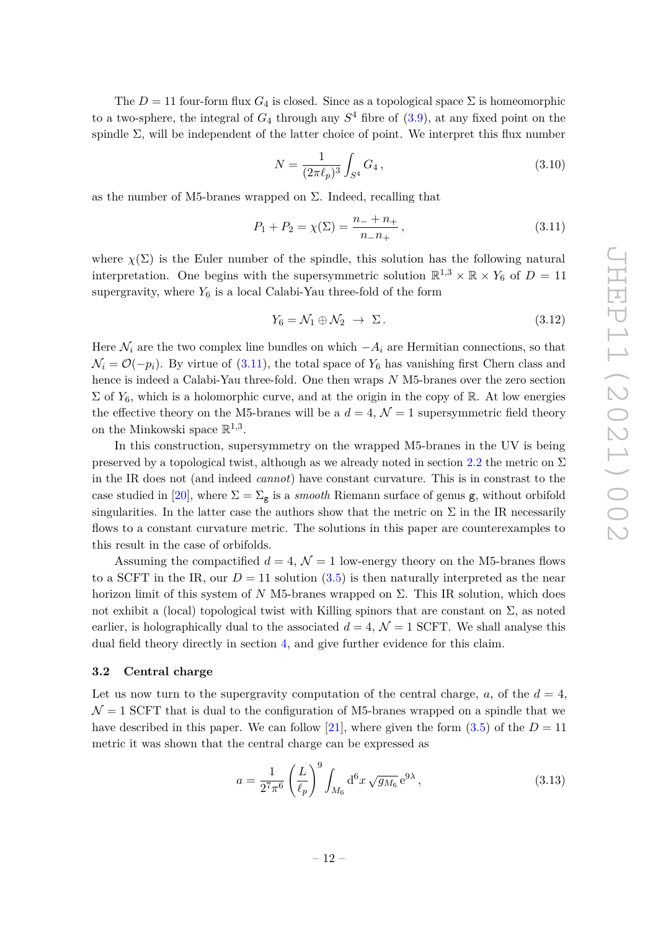The  $D = 11$  four-form flux  $G_4$  is closed. Since as a topological space  $\Sigma$  is homeomorphic to a two-sphere, the integral of *G*<sup>4</sup> through any *S* <sup>4</sup> fibre of [\(3.9\)](#page-11-1), at any fixed point on the spindle  $\Sigma$ , will be independent of the latter choice of point. We interpret this flux number

<span id="page-12-1"></span>
$$
N = \frac{1}{(2\pi\ell_p)^3} \int_{S^4} G_4 \,, \tag{3.10}
$$

as the number of M5-branes wrapped on  $\Sigma$ . Indeed, recalling that

$$
P_1 + P_2 = \chi(\Sigma) = \frac{n_- + n_+}{n_- n_+},\tag{3.11}
$$

where  $\chi(\Sigma)$  is the Euler number of the spindle, this solution has the following natural interpretation. One begins with the supersymmetric solution  $\mathbb{R}^{1,3} \times \mathbb{R} \times Y_6$  of  $D = 11$ supergravity, where  $Y_6$  is a local Calabi-Yau three-fold of the form

$$
Y_6 = \mathcal{N}_1 \oplus \mathcal{N}_2 \rightarrow \Sigma. \tag{3.12}
$$

Here  $\mathcal{N}_i$  are the two complex line bundles on which  $-A_i$  are Hermitian connections, so that  $\mathcal{N}_i = \mathcal{O}(-p_i)$ . By virtue of [\(3.11\)](#page-12-1), the total space of  $Y_6$  has vanishing first Chern class and hence is indeed a Calabi-Yau three-fold. One then wraps *N* M5-branes over the zero section  $\Sigma$  of  $Y_6$ , which is a holomorphic curve, and at the origin in the copy of R. At low energies the effective theory on the M5-branes will be a  $d = 4$ ,  $\mathcal{N} = 1$  supersymmetric field theory on the Minkowski space  $\mathbb{R}^{1,3}$ .

In this construction, supersymmetry on the wrapped M5-branes in the UV is being preserved by a topological twist, although as we already noted in section [2.2](#page-5-0) the metric on  $\Sigma$ in the IR does not (and indeed *cannot*) have constant curvature. This is in constrast to the case studied in [\[20\]](#page-20-5), where  $\Sigma = \Sigma_{\mathbf{g}}$  is a *smooth* Riemann surface of genus **g**, without orbifold singularities. In the latter case the authors show that the metric on  $\Sigma$  in the IR necessarily flows to a constant curvature metric. The solutions in this paper are counterexamples to this result in the case of orbifolds.

Assuming the compactified  $d = 4$ ,  $\mathcal{N} = 1$  low-energy theory on the M5-branes flows to a SCFT in the IR, our  $D = 11$  solution [\(3.5\)](#page-11-2) is then naturally interpreted as the near horizon limit of this system of *N* M5-branes wrapped on Σ. This IR solution, which does not exhibit a (local) topological twist with Killing spinors that are constant on  $\Sigma$ , as noted earlier, is holographically dual to the associated  $d = 4$ ,  $\mathcal{N} = 1$  SCFT. We shall analyse this dual field theory directly in section [4,](#page-13-0) and give further evidence for this claim.

#### <span id="page-12-0"></span>**3.2 Central charge**

Let us now turn to the supergravity computation of the central charge,  $a$ , of the  $d = 4$ ,  $\mathcal{N}=1$  SCFT that is dual to the configuration of M5-branes wrapped on a spindle that we have described in this paper. We can follow [\[21\]](#page-20-6), where given the form  $(3.5)$  of the  $D = 11$ metric it was shown that the central charge can be expressed as

$$
a = \frac{1}{2^7 \pi^6} \left(\frac{L}{\ell_p}\right)^9 \int_{M_6} d^6 x \sqrt{g_{M_6}} e^{9\lambda}, \qquad (3.13)
$$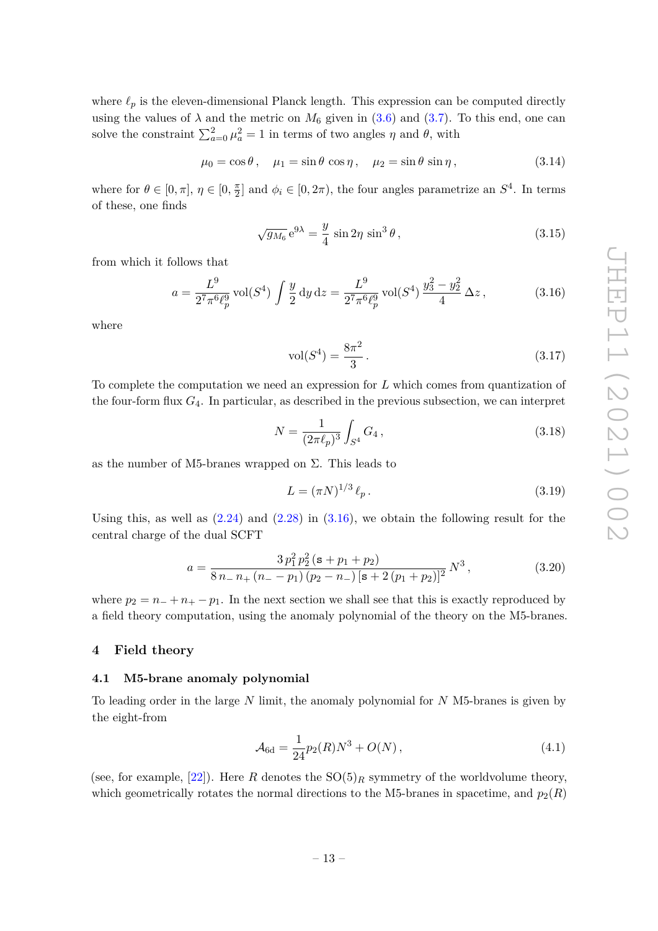where  $\ell_p$  is the eleven-dimensional Planck length. This expression can be computed directly using the values of  $\lambda$  and the metric on  $M_6$  given in [\(3.6\)](#page-11-3) and [\(3.7\)](#page-11-0). To this end, one can solve the constraint  $\sum_{a=0}^{2} \mu_a^2 = 1$  in terms of two angles  $\eta$  and  $\theta$ , with

$$
\mu_0 = \cos \theta \,, \quad \mu_1 = \sin \theta \, \cos \eta \,, \quad \mu_2 = \sin \theta \, \sin \eta \,, \tag{3.14}
$$

where for  $\theta \in [0, \pi], \eta \in [0, \frac{\pi}{2}]$  $\frac{\pi}{2}$  and  $\phi_i \in [0, 2\pi)$ , the four angles parametrize an  $S^4$ . In terms of these, one finds

$$
\sqrt{g_{M_6}} e^{9\lambda} = \frac{y}{4} \sin 2\eta \sin^3 \theta, \qquad (3.15)
$$

from which it follows that

$$
a = \frac{L^9}{2^7 \pi^6 \ell_p^9} \text{vol}(S^4) \int \frac{y}{2} \, \mathrm{d}y \, \mathrm{d}z = \frac{L^9}{2^7 \pi^6 \ell_p^9} \text{vol}(S^4) \, \frac{y_3^2 - y_2^2}{4} \, \Delta z \,, \tag{3.16}
$$

where

<span id="page-13-2"></span>
$$
vol(S^4) = \frac{8\pi^2}{3}.
$$
\n(3.17)

To complete the computation we need an expression for *L* which comes from quantization of the four-form flux  $G_4$ . In particular, as described in the previous subsection, we can interpret

$$
N = \frac{1}{(2\pi\ell_p)^3} \int_{S^4} G_4 \,, \tag{3.18}
$$

as the number of M5-branes wrapped on  $\Sigma$ . This leads to

<span id="page-13-4"></span>
$$
L = (\pi N)^{1/3} \ell_p. \tag{3.19}
$$

Using this, as well as  $(2.24)$  and  $(2.28)$  in  $(3.16)$ , we obtain the following result for the central charge of the dual SCFT

$$
a = \frac{3p_1^2p_2^2(\mathbf{s} + p_1 + p_2)}{8n_1n_+(n_+ - p_1)(p_2 - n_+)(\mathbf{s} + 2(p_1 + p_2))^2}N^3,
$$
\n(3.20)

where  $p_2 = n_+ + n_+ - p_1$ . In the next section we shall see that this is exactly reproduced by a field theory computation, using the anomaly polynomial of the theory on the M5-branes.

### <span id="page-13-0"></span>**4 Field theory**

#### <span id="page-13-1"></span>**4.1 M5-brane anomaly polynomial**

To leading order in the large *N* limit, the anomaly polynomial for *N* M5-branes is given by the eight-from

<span id="page-13-3"></span>
$$
\mathcal{A}_{6d} = \frac{1}{24} p_2(R) N^3 + O(N) \,, \tag{4.1}
$$

(see, for example,  $[22]$ ). Here *R* denotes the  $SO(5)_R$  symmetry of the worldvolume theory, which geometrically rotates the normal directions to the M5-branes in spacetime, and  $p_2(R)$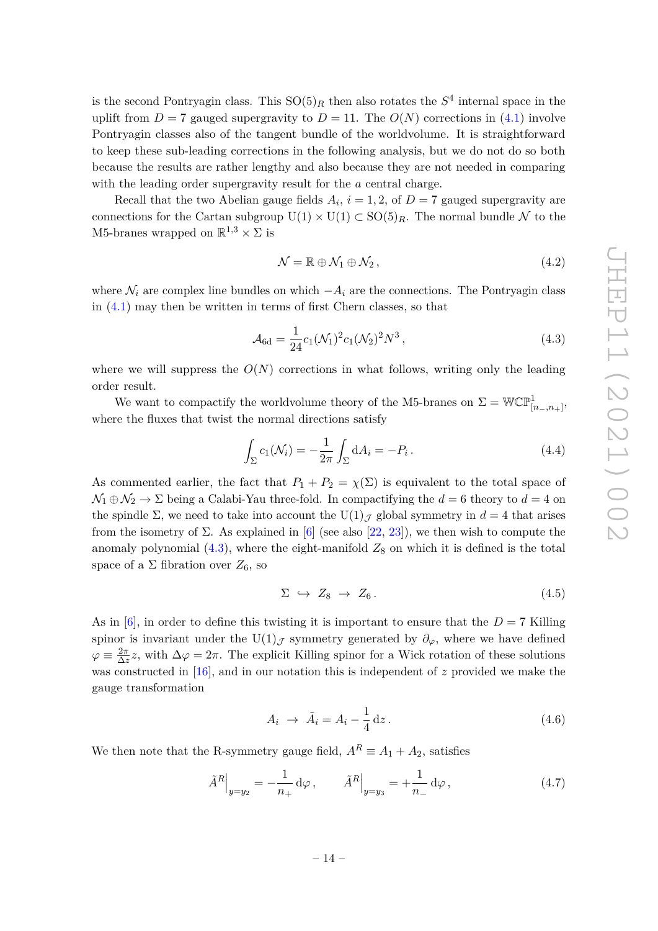is the second Pontryagin class. This  $SO(5)_R$  then also rotates the  $S^4$  internal space in the uplift from  $D = 7$  gauged supergravity to  $D = 11$ . The  $O(N)$  corrections in [\(4.1\)](#page-13-3) involve Pontryagin classes also of the tangent bundle of the worldvolume. It is straightforward to keep these sub-leading corrections in the following analysis, but we do not do so both because the results are rather lengthy and also because they are not needed in comparing with the leading order supergravity result for the *a* central charge.

Recall that the two Abelian gauge fields  $A_i$ ,  $i = 1, 2$ , of  $D = 7$  gauged supergravity are connections for the Cartan subgroup  $U(1) \times U(1) \subset SO(5)<sub>R</sub>$ . The normal bundle N to the M5-branes wrapped on  $\mathbb{R}^{1,3} \times \Sigma$  is

<span id="page-14-0"></span>
$$
\mathcal{N} = \mathbb{R} \oplus \mathcal{N}_1 \oplus \mathcal{N}_2, \qquad (4.2)
$$

where  $\mathcal{N}_i$  are complex line bundles on which  $-\mathcal{A}_i$  are the connections. The Pontryagin class in [\(4.1\)](#page-13-3) may then be written in terms of first Chern classes, so that

$$
\mathcal{A}_{6d} = \frac{1}{24} c_1 (\mathcal{N}_1)^2 c_1 (\mathcal{N}_2)^2 N^3 , \qquad (4.3)
$$

where we will suppress the  $O(N)$  corrections in what follows, writing only the leading order result.

We want to compactify the worldvolume theory of the M5-branes on  $\Sigma = \mathbb{WCP}^1_{[n_-,n_+]}$ , where the fluxes that twist the normal directions satisfy

$$
\int_{\Sigma} c_1(\mathcal{N}_i) = -\frac{1}{2\pi} \int_{\Sigma} dA_i = -P_i.
$$
\n(4.4)

As commented earlier, the fact that  $P_1 + P_2 = \chi(\Sigma)$  is equivalent to the total space of  $\mathcal{N}_1 \oplus \mathcal{N}_2 \rightarrow \Sigma$  being a Calabi-Yau three-fold. In compactifying the  $d = 6$  theory to  $d = 4$  on the spindle Σ, we need to take into account the U(1)<sub>J</sub> global symmetry in  $d = 4$  that arises from the isometry of  $\Sigma$ . As explained in [\[6\]](#page-19-5) (see also [\[22,](#page-20-7) [23\]](#page-20-8)), we then wish to compute the anomaly polynomial  $(4.3)$ , where the eight-manifold  $Z_8$  on which it is defined is the total space of a  $\Sigma$  fibration over  $Z_6$ , so

<span id="page-14-1"></span>
$$
\Sigma \hookrightarrow Z_8 \to Z_6. \tag{4.5}
$$

As in  $[6]$ , in order to define this twisting it is important to ensure that the  $D = 7$  Killing spinor is invariant under the U(1) $\sigma$  symmetry generated by  $\partial_{\varphi}$ , where we have defined  $\varphi \equiv \frac{2\pi}{\Delta^2}$  $\frac{2\pi}{\Delta z}z$ , with  $\Delta \varphi = 2\pi$ . The explicit Killing spinor for a Wick rotation of these solutions was constructed in [\[16\]](#page-20-0), and in our notation this is independent of *z* provided we make the gauge transformation

$$
A_i \rightarrow \tilde{A}_i = A_i - \frac{1}{4} dz. \tag{4.6}
$$

We then note that the R-symmetry gauge field,  $A^R \equiv A_1 + A_2$ , satisfies

$$
\tilde{A}^{R}\Big|_{y=y_2} = -\frac{1}{n_+} \, \mathrm{d}\varphi \,, \qquad \tilde{A}^{R}\Big|_{y=y_3} = +\frac{1}{n_-} \, \mathrm{d}\varphi \,, \tag{4.7}
$$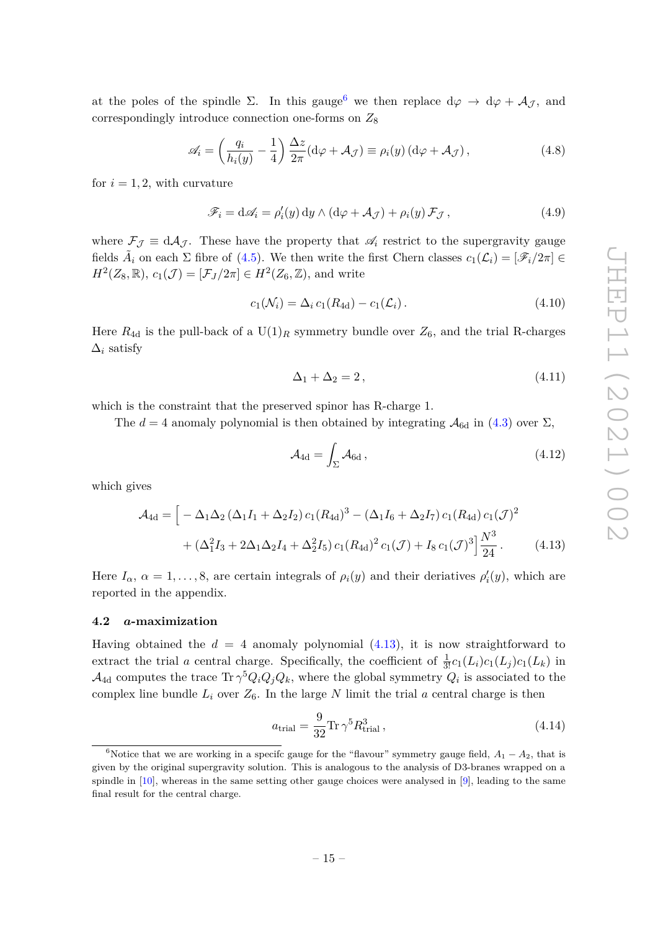at the poles of the spindle  $\Sigma$ . In this gauge<sup>[6](#page-15-1)</sup> we then replace  $d\varphi \to d\varphi + \mathcal{A}_{\mathcal{J}}$ , and correspondingly introduce connection one-forms on *Z*<sup>8</sup>

$$
\mathscr{A}_i = \left(\frac{q_i}{h_i(y)} - \frac{1}{4}\right) \frac{\Delta z}{2\pi} (\mathrm{d}\varphi + \mathcal{A}_{\mathcal{J}}) \equiv \rho_i(y) \left(\mathrm{d}\varphi + \mathcal{A}_{\mathcal{J}}\right),\tag{4.8}
$$

for  $i = 1, 2$ , with curvature

$$
\mathscr{F}_i = d\mathscr{A}_i = \rho'_i(y) dy \wedge (d\varphi + \mathcal{A}_{\mathcal{J}}) + \rho_i(y) \mathcal{F}_{\mathcal{J}},
$$
\n(4.9)

where  $\mathcal{F}_{\mathcal{J}} \equiv d\mathcal{A}_{\mathcal{J}}$ . These have the property that  $\mathcal{A}_i$  restrict to the supergravity gauge fields  $\tilde{A}_i$  on each  $\Sigma$  fibre of [\(4.5\)](#page-14-1). We then write the first Chern classes  $c_1(\mathcal{L}_i) = [\mathscr{F}_i/2\pi] \in$  $H^2(Z_8, \mathbb{R})$ ,  $c_1(\mathcal{J}) = [\mathcal{F}_J/2\pi] \in H^2(Z_6, \mathbb{Z})$ , and write

$$
c_1(\mathcal{N}_i) = \Delta_i c_1(R_{4d}) - c_1(\mathcal{L}_i).
$$
\n(4.10)

Here  $R_{4d}$  is the pull-back of a  $U(1)_R$  symmetry bundle over  $Z_6$ , and the trial R-charges  $\Delta_i$  satisfy

<span id="page-15-3"></span>
$$
\Delta_1 + \Delta_2 = 2, \tag{4.11}
$$

which is the constraint that the preserved spinor has R-charge 1.

The  $d = 4$  anomaly polynomial is then obtained by integrating  $A_{6d}$  in [\(4.3\)](#page-14-0) over  $\Sigma$ ,

<span id="page-15-2"></span>
$$
\mathcal{A}_{4d} = \int_{\Sigma} \mathcal{A}_{6d} , \qquad (4.12)
$$

which gives

$$
\mathcal{A}_{4d} = \left[ -\Delta_1 \Delta_2 \left( \Delta_1 I_1 + \Delta_2 I_2 \right) c_1 (R_{4d})^3 - \left( \Delta_1 I_6 + \Delta_2 I_7 \right) c_1 (R_{4d}) c_1 (\mathcal{J})^2 \right. \\
\left. + \left( \Delta_1^2 I_3 + 2 \Delta_1 \Delta_2 I_4 + \Delta_2^2 I_5 \right) c_1 (R_{4d})^2 c_1 (\mathcal{J}) + I_8 c_1 (\mathcal{J})^3 \right] \frac{N^3}{24} .\n\tag{4.13}
$$

Here  $I_{\alpha}$ ,  $\alpha = 1, \ldots, 8$ , are certain integrals of  $\rho_i(y)$  and their deriatives  $\rho'_i(y)$ , which are reported in the appendix.

## <span id="page-15-0"></span>**4.2** *a***-maximization**

Having obtained the  $d = 4$  anomaly polynomial  $(4.13)$ , it is now straightforward to extract the trial *a* central charge. Specifically, the coefficient of  $\frac{1}{3!}c_1(L_i)c_1(L_j)c_1(L_k)$  in  $\mathcal{A}_{4d}$  computes the trace  $\text{Tr } \gamma^5 Q_i Q_j Q_k$ , where the global symmetry  $Q_i$  is associated to the complex line bundle  $L_i$  over  $Z_6$ . In the large  $N$  limit the trial  $a$  central charge is then

$$
a_{\text{trial}} = \frac{9}{32} \text{Tr} \,\gamma^5 R_{\text{trial}}^3 \,, \tag{4.14}
$$

<span id="page-15-1"></span><sup>&</sup>lt;sup>6</sup>Notice that we are working in a specifc gauge for the "flavour" symmetry gauge field,  $A_1 - A_2$ , that is given by the original supergravity solution. This is analogous to the analysis of D3-branes wrapped on a spindle in  $[10]$ , whereas in the same setting other gauge choices were analysed in  $[9]$ , leading to the same final result for the central charge.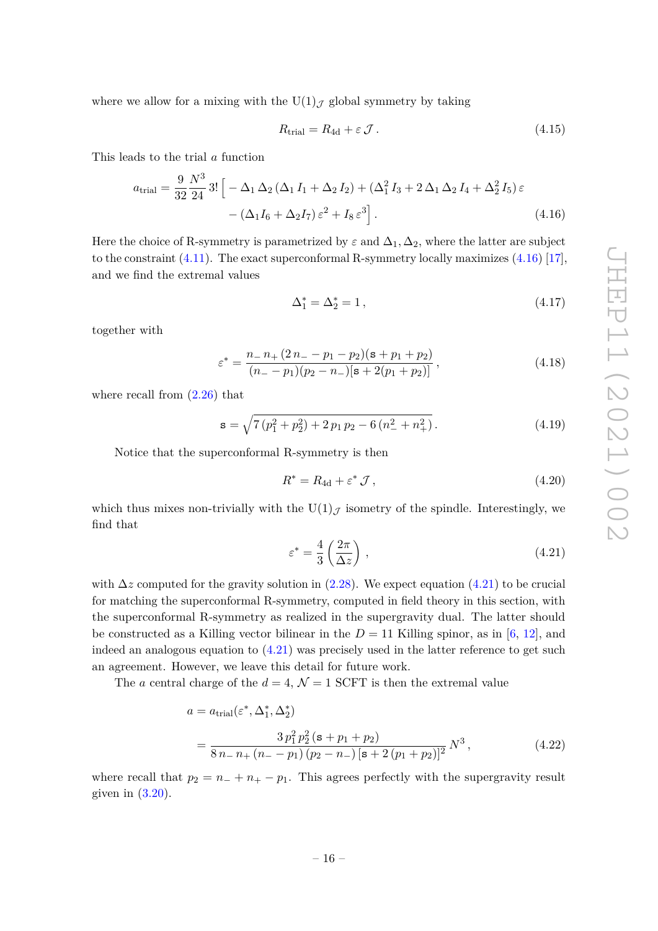where we allow for a mixing with the  $U(1)$  global symmetry by taking

$$
R_{\text{trial}} = R_{\text{4d}} + \varepsilon \mathcal{J} \,. \tag{4.15}
$$

This leads to the trial *a* function

$$
a_{\text{trial}} = \frac{9}{32} \frac{N^3}{24} 3! \left[ -\Delta_1 \Delta_2 (\Delta_1 I_1 + \Delta_2 I_2) + (\Delta_1^2 I_3 + 2 \Delta_1 \Delta_2 I_4 + \Delta_2^2 I_5) \varepsilon - (\Delta_1 I_6 + \Delta_2 I_7) \varepsilon^2 + I_8 \varepsilon^3 \right].
$$
\n(4.16)

Here the choice of R-symmetry is parametrized by  $\varepsilon$  and  $\Delta_1, \Delta_2$ , where the latter are subject to the constraint  $(4.11)$ . The exact superconformal R-symmetry locally maximizes  $(4.16)$  [\[17\]](#page-20-1), and we find the extremal values

<span id="page-16-4"></span><span id="page-16-1"></span>
$$
\Delta_1^* = \Delta_2^* = 1 \,, \tag{4.17}
$$

together with

$$
\varepsilon^* = \frac{n - n + (2n - p_1 - p_2)(s + p_1 + p_2)}{(n - p_1)(p_2 - n - |s + 2(p_1 + p_2)|)},
$$
\n(4.18)

where recall from [\(2.26\)](#page-9-1) that

$$
\mathbf{s} = \sqrt{7(p_1^2 + p_2^2) + 2p_1p_2 - 6(n_+^2 + n_+^2)}.
$$
 (4.19)

Notice that the superconformal R-symmetry is then

<span id="page-16-3"></span>
$$
R^* = R_{\rm 4d} + \varepsilon^* \mathcal{J},\tag{4.20}
$$

which thus mixes non-trivially with the  $U(1)$ , isometry of the spindle. Interestingly, we find that

<span id="page-16-2"></span><span id="page-16-0"></span>
$$
\varepsilon^* = \frac{4}{3} \left( \frac{2\pi}{\Delta z} \right) , \qquad (4.21)
$$

with  $\Delta z$  computed for the gravity solution in [\(2.28\)](#page-9-2). We expect equation [\(4.21\)](#page-16-2) to be crucial for matching the superconformal R-symmetry, computed in field theory in this section, with the superconformal R-symmetry as realized in the supergravity dual. The latter should be constructed as a Killing vector bilinear in the  $D = 11$  Killing spinor, as in [\[6,](#page-19-5) [12\]](#page-19-11), and indeed an analogous equation to  $(4.21)$  was precisely used in the latter reference to get such an agreement. However, we leave this detail for future work.

The *a* central charge of the  $d = 4$ ,  $\mathcal{N} = 1$  SCFT is then the extremal value

$$
a = a_{\text{trial}}(\varepsilon^*, \Delta_1^*, \Delta_2^*)
$$
  
= 
$$
\frac{3 p_1^2 p_2^2 (\mathbf{s} + p_1 + p_2)}{8 n_- n_+ (n_- - p_1) (p_2 - n_-) [\mathbf{s} + 2 (p_1 + p_2)]^2} N^3,
$$
 (4.22)

where recall that  $p_2 = n_+ + n_+ - p_1$ . This agrees perfectly with the supergravity result given in  $(3.20)$ .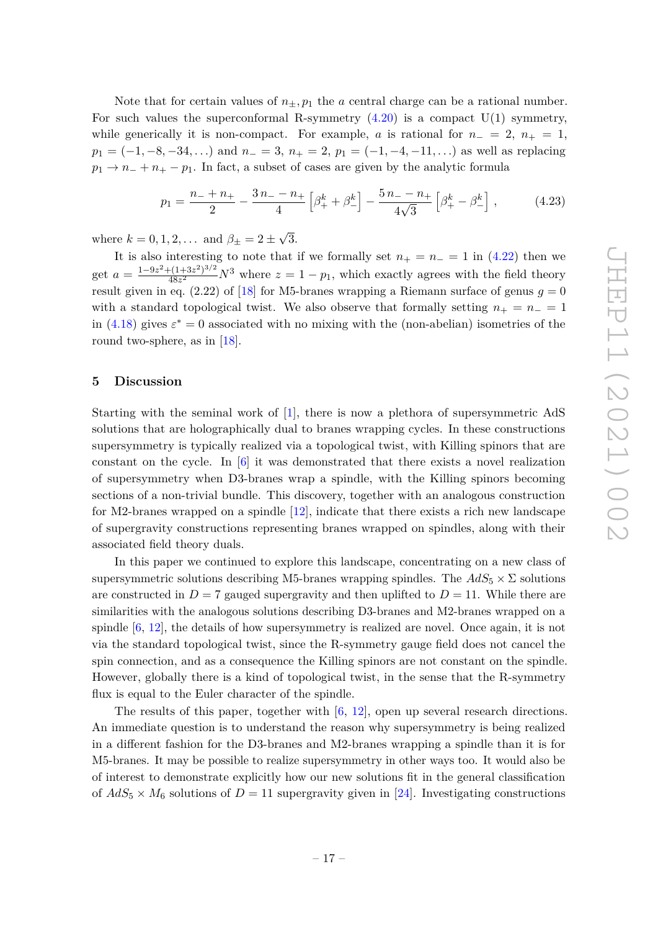Note that for certain values of  $n_{\pm}, p_1$  the *a* central charge can be a rational number. For such values the superconformal R-symmetry  $(4.20)$  is a compact U(1) symmetry, while generically it is non-compact. For example, *a* is rational for  $n_-=2$ ,  $n_+=1$ , *p*<sub>1</sub> = (−1*,* −8*,* −34*,...*) and *n*<sub>−</sub> = 3, *n*<sub>+</sub> = 2, *p*<sub>1</sub> = (−1*,* −4*,* −11*,...*) as well as replacing  $p_1 \rightarrow n_- + n_+ - p_1$ . In fact, a subset of cases are given by the analytic formula

$$
p_1 = \frac{n_- + n_+}{2} - \frac{3n_- - n_+}{4} \left[ \beta_+^k + \beta_-^k \right] - \frac{5n_- - n_+}{4\sqrt{3}} \left[ \beta_+^k - \beta_-^k \right],\tag{4.23}
$$

where  $k = 0, 1, 2, \ldots$  and  $\beta_{\pm} = 2 \pm \beta$ √ 3.

It is also interesting to note that if we formally set  $n_{+} = n_{-} = 1$  in [\(4.22\)](#page-16-0) then we get  $a = \frac{1-9z^2+(1+3z^2)^{3/2}}{48z^2}$  $\frac{-(1+3z^2)^{3/2}}{48z^2}N^3$  where  $z=1-p_1$ , which exactly agrees with the field theory result given in eq. (2.22) of [\[18\]](#page-20-2) for M5-branes wrapping a Riemann surface of genus  $g = 0$ with a standard topological twist. We also observe that formally setting  $n_{+} = n_{-} = 1$ in [\(4.18\)](#page-16-4) gives  $\varepsilon^* = 0$  associated with no mixing with the (non-abelian) isometries of the round two-sphere, as in [\[18\]](#page-20-2).

### <span id="page-17-0"></span>**5 Discussion**

Starting with the seminal work of [\[1\]](#page-19-0), there is now a plethora of supersymmetric AdS solutions that are holographically dual to branes wrapping cycles. In these constructions supersymmetry is typically realized via a topological twist, with Killing spinors that are constant on the cycle. In  $\lceil 6 \rceil$  it was demonstrated that there exists a novel realization of supersymmetry when D3-branes wrap a spindle, with the Killing spinors becoming sections of a non-trivial bundle. This discovery, together with an analogous construction for M2-branes wrapped on a spindle [\[12\]](#page-19-11), indicate that there exists a rich new landscape of supergravity constructions representing branes wrapped on spindles, along with their associated field theory duals.

In this paper we continued to explore this landscape, concentrating on a new class of supersymmetric solutions describing M5-branes wrapping spindles. The  $AdS_5 \times \Sigma$  solutions are constructed in  $D = 7$  gauged supergravity and then uplifted to  $D = 11$ . While there are similarities with the analogous solutions describing D3-branes and M2-branes wrapped on a spindle [\[6,](#page-19-5) [12\]](#page-19-11), the details of how supersymmetry is realized are novel. Once again, it is not via the standard topological twist, since the R-symmetry gauge field does not cancel the spin connection, and as a consequence the Killing spinors are not constant on the spindle. However, globally there is a kind of topological twist, in the sense that the R-symmetry flux is equal to the Euler character of the spindle.

The results of this paper, together with  $[6, 12]$  $[6, 12]$  $[6, 12]$ , open up several research directions. An immediate question is to understand the reason why supersymmetry is being realized in a different fashion for the D3-branes and M2-branes wrapping a spindle than it is for M5-branes. It may be possible to realize supersymmetry in other ways too. It would also be of interest to demonstrate explicitly how our new solutions fit in the general classification of  $AdS_5 \times M_6$  solutions of  $D = 11$  supergravity given in [\[24\]](#page-20-9). Investigating constructions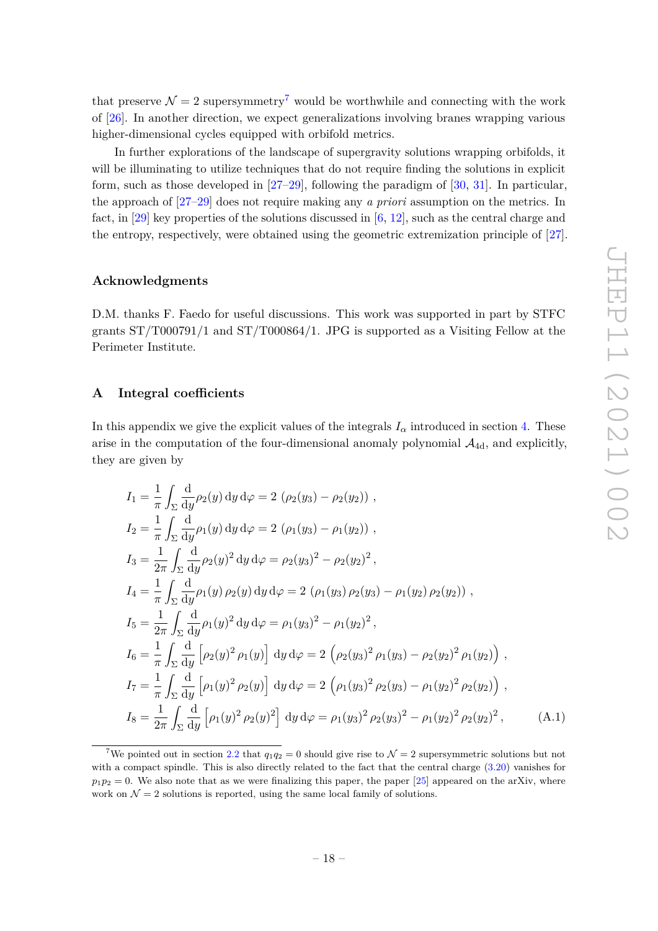that preserve  $\mathcal{N} = 2$  supersymmetry<sup>[7](#page-18-1)</sup> would be worthwhile and connecting with the work of [\[26\]](#page-20-10). In another direction, we expect generalizations involving branes wrapping various higher-dimensional cycles equipped with orbifold metrics.

In further explorations of the landscape of supergravity solutions wrapping orbifolds, it will be illuminating to utilize techniques that do not require finding the solutions in explicit form, such as those developed in [\[27](#page-20-11)[–29\]](#page-20-12), following the paradigm of [\[30,](#page-20-13) [31\]](#page-20-14). In particular, the approach of [\[27–](#page-20-11)[29\]](#page-20-12) does not require making any *a priori* assumption on the metrics. In fact, in [\[29\]](#page-20-12) key properties of the solutions discussed in  $[6, 12]$  $[6, 12]$  $[6, 12]$ , such as the central charge and the entropy, respectively, were obtained using the geometric extremization principle of [\[27\]](#page-20-11).

### **Acknowledgments**

D.M. thanks F. Faedo for useful discussions. This work was supported in part by STFC grants  $ST/T000791/1$  and  $ST/T000864/1$ . JPG is supported as a Visiting Fellow at the Perimeter Institute.

#### <span id="page-18-0"></span>**A Integral coefficients**

In this appendix we give the explicit values of the integrals  $I_{\alpha}$  introduced in section [4.](#page-13-0) These arise in the computation of the four-dimensional anomaly polynomial  $A_{4d}$ , and explicitly, they are given by

$$
I_1 = \frac{1}{\pi} \int_{\Sigma} \frac{d}{dy} \rho_2(y) dy d\varphi = 2 (\rho_2(y_3) - \rho_2(y_2)),
$$
  
\n
$$
I_2 = \frac{1}{\pi} \int_{\Sigma} \frac{d}{dy} \rho_1(y) dy d\varphi = 2 (\rho_1(y_3) - \rho_1(y_2)),
$$
  
\n
$$
I_3 = \frac{1}{2\pi} \int_{\Sigma} \frac{d}{dy} \rho_2(y)^2 dy d\varphi = \rho_2(y_3)^2 - \rho_2(y_2)^2,
$$
  
\n
$$
I_4 = \frac{1}{\pi} \int_{\Sigma} \frac{d}{dy} \rho_1(y) \rho_2(y) dy d\varphi = 2 (\rho_1(y_3) \rho_2(y_3) - \rho_1(y_2) \rho_2(y_2)),
$$
  
\n
$$
I_5 = \frac{1}{2\pi} \int_{\Sigma} \frac{d}{dy} \rho_1(y)^2 dy d\varphi = \rho_1(y_3)^2 - \rho_1(y_2)^2,
$$
  
\n
$$
I_6 = \frac{1}{\pi} \int_{\Sigma} \frac{d}{dy} [\rho_2(y)^2 \rho_1(y)] dy d\varphi = 2 (\rho_2(y_3)^2 \rho_1(y_3) - \rho_2(y_2)^2 \rho_1(y_2)),
$$
  
\n
$$
I_7 = \frac{1}{\pi} \int_{\Sigma} \frac{d}{dy} [\rho_1(y)^2 \rho_2(y)] dy d\varphi = 2 (\rho_1(y_3)^2 \rho_2(y_3) - \rho_1(y_2)^2 \rho_2(y_2)),
$$
  
\n
$$
I_8 = \frac{1}{2\pi} \int_{\Sigma} \frac{d}{dy} [\rho_1(y)^2 \rho_2(y)^2] dy d\varphi = \rho_1(y_3)^2 \rho_2(y_3)^2 - \rho_1(y_2)^2 \rho_2(y_2)^2,
$$
 (A.1)

<span id="page-18-1"></span><sup>&</sup>lt;sup>7</sup>We pointed out in section [2.2](#page-5-0) that  $q_1q_2 = 0$  should give rise to  $\mathcal{N} = 2$  supersymmetric solutions but not with a compact spindle. This is also directly related to the fact that the central charge [\(3.20\)](#page-13-4) vanishes for  $p_1p_2 = 0$ . We also note that as we were finalizing this paper, the paper [\[25\]](#page-20-15) appeared on the arXiv, where work on  $\mathcal{N} = 2$  solutions is reported, using the same local family of solutions.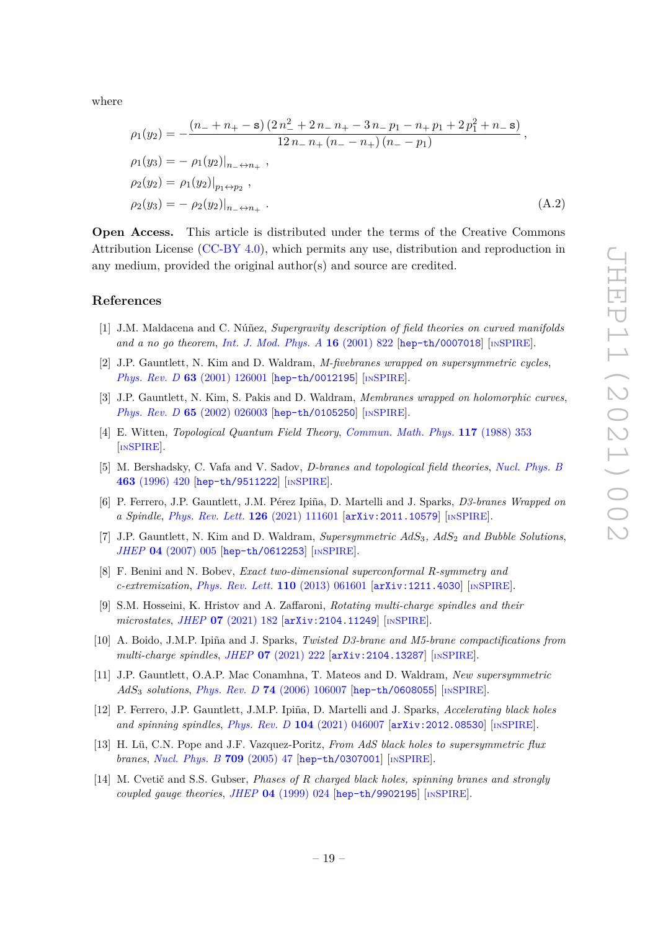where

$$
\rho_1(y_2) = -\frac{(n_- + n_+ - \mathbf{s}) (2 n_-^2 + 2 n_- n_+ - 3 n_- p_1 - n_+ p_1 + 2 p_1^2 + n_- \mathbf{s})}{12 n_- n_+ (n_- - n_+) (n_- - p_1)} ,
$$
  
\n
$$
\rho_1(y_3) = -\rho_1(y_2)|_{n_- \leftrightarrow n_+} ,
$$
  
\n
$$
\rho_2(y_2) = \rho_1(y_2)|_{p_1 \leftrightarrow p_2} ,
$$
  
\n
$$
\rho_2(y_3) = -\rho_2(y_2)|_{n_- \leftrightarrow n_+} .
$$
  
\n(A.2)

 $\sim$ 

**Open Access.** This article is distributed under the terms of the Creative Commons Attribution License [\(CC-BY 4.0\)](https://creativecommons.org/licenses/by/4.0/), which permits any use, distribution and reproduction in any medium, provided the original author(s) and source are credited.

#### **References**

- <span id="page-19-0"></span>[1] J.M. Maldacena and C. Núñez, *Supergravity description of field theories on curved manifolds and a no go theorem*, *[Int. J. Mod. Phys. A](https://doi.org/10.1142/S0217751X01003937)* **16** (2001) 822 [[hep-th/0007018](https://arxiv.org/abs/hep-th/0007018)] [IN[SPIRE](https://inspirehep.net/search?p=find+EPRINT%2Bhep-th%2F0007018)].
- <span id="page-19-4"></span>[2] J.P. Gauntlett, N. Kim and D. Waldram, *M-fivebranes wrapped on supersymmetric cycles*, *Phys. Rev. D* **63** [\(2001\) 126001](https://doi.org/10.1103/PhysRevD.63.126001) [[hep-th/0012195](https://arxiv.org/abs/hep-th/0012195)] [IN[SPIRE](https://inspirehep.net/search?p=find+EPRINT%2Bhep-th%2F0012195)].
- <span id="page-19-1"></span>[3] J.P. Gauntlett, N. Kim, S. Pakis and D. Waldram, *Membranes wrapped on holomorphic curves*, *Phys. Rev. D* **65** [\(2002\) 026003](https://doi.org/10.1103/PhysRevD.65.026003) [[hep-th/0105250](https://arxiv.org/abs/hep-th/0105250)] [IN[SPIRE](https://inspirehep.net/search?p=find+EPRINT%2Bhep-th%2F0105250)].
- <span id="page-19-2"></span>[4] E. Witten, *Topological Quantum Field Theory*, *[Commun. Math. Phys.](https://doi.org/10.1007/BF01223371)* **117** (1988) 353 [IN[SPIRE](https://inspirehep.net/search?p=find+J%20%22Commun.Math.Phys.%2C117%2C353%22)].
- <span id="page-19-3"></span>[5] M. Bershadsky, C. Vafa and V. Sadov, *D-branes and topological field theories*, *[Nucl. Phys. B](https://doi.org/10.1016/0550-3213(96)00026-0)* **463** [\(1996\) 420](https://doi.org/10.1016/0550-3213(96)00026-0) [[hep-th/9511222](https://arxiv.org/abs/hep-th/9511222)] [IN[SPIRE](https://inspirehep.net/search?p=find+EPRINT%2Bhep-th%2F9511222)].
- <span id="page-19-5"></span>[6] P. Ferrero, J.P. Gauntlett, J.M. Pérez Ipiña, D. Martelli and J. Sparks, *D3-branes Wrapped on a Spindle*, *[Phys. Rev. Lett.](https://doi.org/10.1103/PhysRevLett.126.111601)* **126** (2021) 111601 [[arXiv:2011.10579](https://arxiv.org/abs/2011.10579)] [IN[SPIRE](https://inspirehep.net/search?p=find+EPRINT%2BarXiv%3A2011.10579)].
- <span id="page-19-6"></span>[7] J.P. Gauntlett, N. Kim and D. Waldram, *Supersymmetric AdS*3*, AdS*<sup>2</sup> *and Bubble Solutions*, *JHEP* **04** [\(2007\) 005](https://doi.org/10.1088/1126-6708/2007/04/005) [[hep-th/0612253](https://arxiv.org/abs/hep-th/0612253)] [IN[SPIRE](https://inspirehep.net/search?p=find+EPRINT%2Bhep-th%2F0612253)].
- <span id="page-19-7"></span>[8] F. Benini and N. Bobev, *Exact two-dimensional superconformal R-symmetry and c-extremization*, *[Phys. Rev. Lett.](https://doi.org/10.1103/PhysRevLett.110.061601)* **110** (2013) 061601 [[arXiv:1211.4030](https://arxiv.org/abs/1211.4030)] [IN[SPIRE](https://inspirehep.net/search?p=find+EPRINT%2BarXiv%3A1211.4030)].
- <span id="page-19-8"></span>[9] S.M. Hosseini, K. Hristov and A. Zaffaroni, *Rotating multi-charge spindles and their microstates*, *JHEP* **07** [\(2021\) 182](https://doi.org/10.1007/JHEP07(2021)182) [[arXiv:2104.11249](https://arxiv.org/abs/2104.11249)] [IN[SPIRE](https://inspirehep.net/search?p=find+EPRINT%2BarXiv%3A2104.11249)].
- <span id="page-19-9"></span>[10] A. Boido, J.M.P. Ipiña and J. Sparks, *Twisted D3-brane and M5-brane compactifications from multi-charge spindles*, *JHEP* **07** [\(2021\) 222](https://doi.org/10.1007/JHEP07(2021)222) [[arXiv:2104.13287](https://arxiv.org/abs/2104.13287)] [IN[SPIRE](https://inspirehep.net/search?p=find+EPRINT%2BarXiv%3A2104.13287)].
- <span id="page-19-10"></span>[11] J.P. Gauntlett, O.A.P. Mac Conamhna, T. Mateos and D. Waldram, *New supersymmetric AdS*<sup>3</sup> *solutions*, *Phys. Rev. D* **74** [\(2006\) 106007](https://doi.org/10.1103/PhysRevD.74.106007) [[hep-th/0608055](https://arxiv.org/abs/hep-th/0608055)] [IN[SPIRE](https://inspirehep.net/search?p=find+EPRINT%2Bhep-th%2F0608055)].
- <span id="page-19-11"></span>[12] P. Ferrero, J.P. Gauntlett, J.M.P. Ipiña, D. Martelli and J. Sparks, *Accelerating black holes and spinning spindles*, *Phys. Rev. D* **104** [\(2021\) 046007](https://doi.org/10.1103/PhysRevD.104.046007) [[arXiv:2012.08530](https://arxiv.org/abs/2012.08530)] [IN[SPIRE](https://inspirehep.net/search?p=find+EPRINT%2BarXiv%3A2012.08530)].
- <span id="page-19-12"></span>[13] H. Lü, C.N. Pope and J.F. Vazquez-Poritz, *From AdS black holes to supersymmetric flux branes*, *[Nucl. Phys. B](https://doi.org/10.1016/j.nuclphysb.2004.12.009)* **709** (2005) 47 [[hep-th/0307001](https://arxiv.org/abs/hep-th/0307001)] [IN[SPIRE](https://inspirehep.net/search?p=find+EPRINT%2Bhep-th%2F0307001)].
- <span id="page-19-13"></span>[14] M. Cvetič and S.S. Gubser, *Phases of R charged black holes, spinning branes and strongly coupled gauge theories*, *JHEP* **04** [\(1999\) 024](https://doi.org/10.1088/1126-6708/1999/04/024) [[hep-th/9902195](https://arxiv.org/abs/hep-th/9902195)] [IN[SPIRE](https://inspirehep.net/search?p=find+EPRINT%2Bhep-th%2F9902195)].